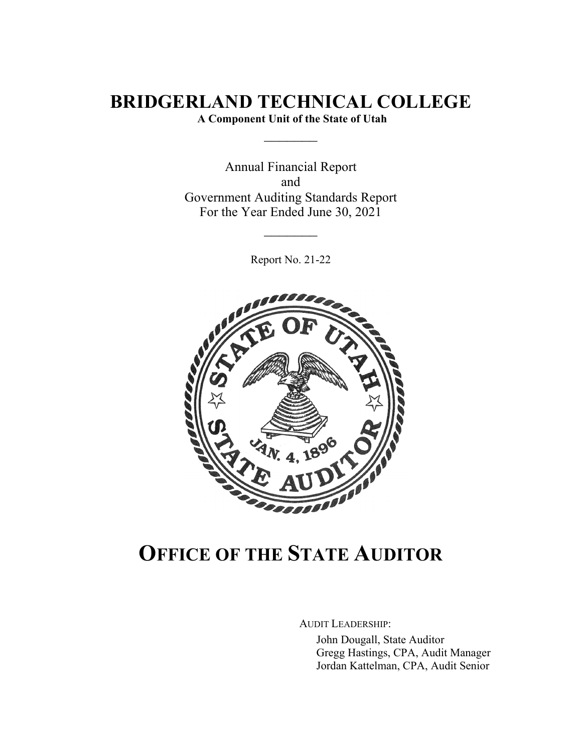**A Component Unit of the State of Utah**  $\frac{1}{2}$ 

Annual Financial Report and Government Auditing Standards Report For the Year Ended June 30, 2021

Report No. 21-22

 $\frac{1}{2}$ 



# **OFFICE OF THE STATE AUDITOR**

AUDIT LEADERSHIP:

John Dougall, State Auditor Gregg Hastings, CPA, Audit Manager Jordan Kattelman, CPA, Audit Senior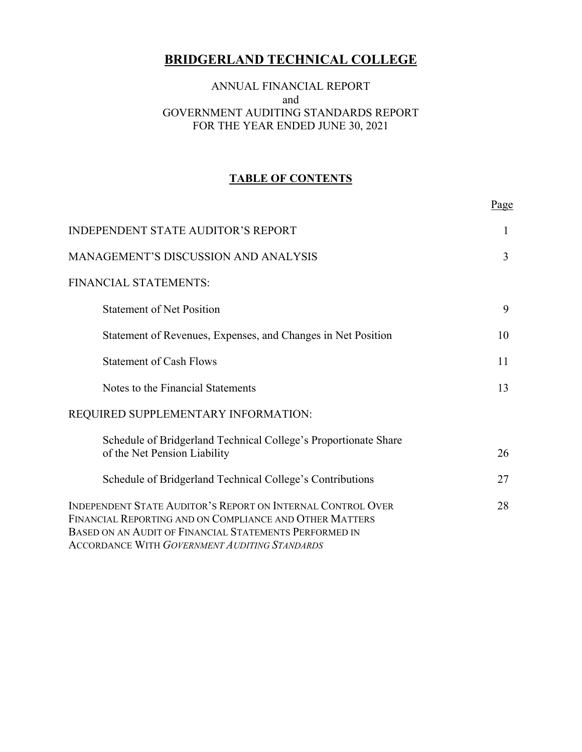## ANNUAL FINANCIAL REPORT and GOVERNMENT AUDITING STANDARDS REPORT FOR THE YEAR ENDED JUNE 30, 2021

## **TABLE OF CONTENTS**

Page

| <b>INDEPENDENT STATE AUDITOR'S REPORT</b>                                                                                                                                                                                                | 1  |
|------------------------------------------------------------------------------------------------------------------------------------------------------------------------------------------------------------------------------------------|----|
| <b>MANAGEMENT'S DISCUSSION AND ANALYSIS</b>                                                                                                                                                                                              | 3  |
| FINANCIAL STATEMENTS:                                                                                                                                                                                                                    |    |
| <b>Statement of Net Position</b>                                                                                                                                                                                                         | 9  |
| Statement of Revenues, Expenses, and Changes in Net Position                                                                                                                                                                             | 10 |
| <b>Statement of Cash Flows</b>                                                                                                                                                                                                           | 11 |
| Notes to the Financial Statements                                                                                                                                                                                                        | 13 |
| REQUIRED SUPPLEMENTARY INFORMATION:                                                                                                                                                                                                      |    |
| Schedule of Bridgerland Technical College's Proportionate Share<br>of the Net Pension Liability                                                                                                                                          | 26 |
| Schedule of Bridgerland Technical College's Contributions                                                                                                                                                                                | 27 |
| INDEPENDENT STATE AUDITOR'S REPORT ON INTERNAL CONTROL OVER<br>FINANCIAL REPORTING AND ON COMPLIANCE AND OTHER MATTERS<br>BASED ON AN AUDIT OF FINANCIAL STATEMENTS PERFORMED IN<br><b>ACCORDANCE WITH GOVERNMENT AUDITING STANDARDS</b> | 28 |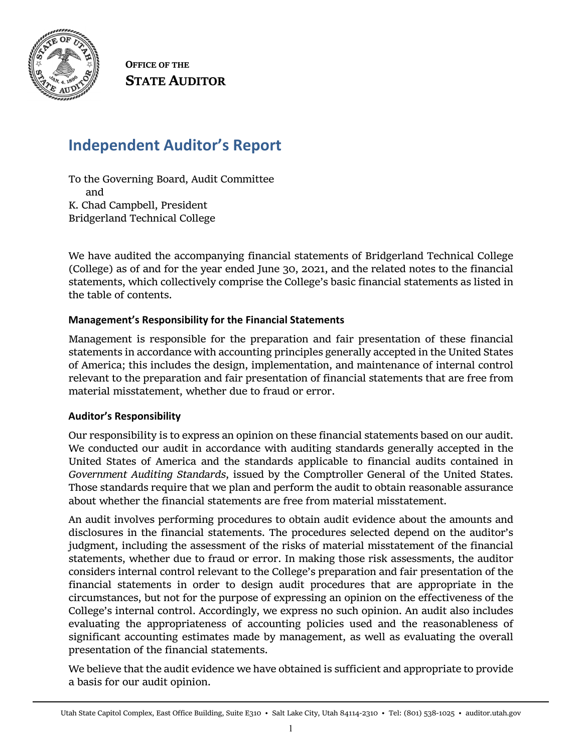

**OFFICE OF THE STATE AUDITOR**

# **Independent Auditor's Report**

To the Governing Board, Audit Committee and K. Chad Campbell, President Bridgerland Technical College

We have audited the accompanying financial statements of Bridgerland Technical College (College) as of and for the year ended June 30, 2021, and the related notes to the financial statements, which collectively comprise the College's basic financial statements as listed in the table of contents.

## **Management's Responsibility for the Financial Statements**

Management is responsible for the preparation and fair presentation of these financial statements in accordance with accounting principles generally accepted in the United States of America; this includes the design, implementation, and maintenance of internal control relevant to the preparation and fair presentation of financial statements that are free from material misstatement, whether due to fraud or error.

## **Auditor's Responsibility**

Our responsibility is to express an opinion on these financial statements based on our audit. We conducted our audit in accordance with auditing standards generally accepted in the United States of America and the standards applicable to financial audits contained in *Government Auditing Standards*, issued by the Comptroller General of the United States. Those standards require that we plan and perform the audit to obtain reasonable assurance about whether the financial statements are free from material misstatement.

An audit involves performing procedures to obtain audit evidence about the amounts and disclosures in the financial statements. The procedures selected depend on the auditor's judgment, including the assessment of the risks of material misstatement of the financial statements, whether due to fraud or error. In making those risk assessments, the auditor considers internal control relevant to the College's preparation and fair presentation of the financial statements in order to design audit procedures that are appropriate in the circumstances, but not for the purpose of expressing an opinion on the effectiveness of the College's internal control. Accordingly, we express no such opinion. An audit also includes evaluating the appropriateness of accounting policies used and the reasonableness of significant accounting estimates made by management, as well as evaluating the overall presentation of the financial statements.

We believe that the audit evidence we have obtained is sufficient and appropriate to provide a basis for our audit opinion.

Utah State Capitol Complex, East Office Building, Suite E310 · Salt Lake City, Utah 84114-2310 · Tel: (801) 538-1025 · auditor.utah.gov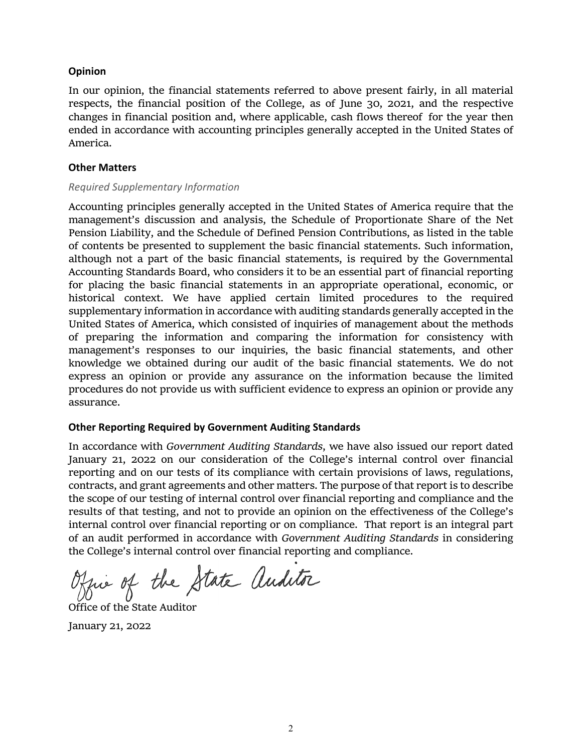### **Opinion**

In our opinion, the financial statements referred to above present fairly, in all material respects, the financial position of the College, as of June 30, 2021, and the respective changes in financial position and, where applicable, cash flows thereof for the year then ended in accordance with accounting principles generally accepted in the United States of America.

### **Other Matters**

#### *Required Supplementary Information*

Accounting principles generally accepted in the United States of America require that the management's discussion and analysis, the Schedule of Proportionate Share of the Net Pension Liability, and the Schedule of Defined Pension Contributions, as listed in the table of contents be presented to supplement the basic financial statements. Such information, although not a part of the basic financial statements, is required by the Governmental Accounting Standards Board, who considers it to be an essential part of financial reporting for placing the basic financial statements in an appropriate operational, economic, or historical context. We have applied certain limited procedures to the required supplementary information in accordance with auditing standards generally accepted in the United States of America, which consisted of inquiries of management about the methods of preparing the information and comparing the information for consistency with management's responses to our inquiries, the basic financial statements, and other knowledge we obtained during our audit of the basic financial statements. We do not express an opinion or provide any assurance on the information because the limited procedures do not provide us with sufficient evidence to express an opinion or provide any assurance.

### **Other Reporting Required by Government Auditing Standards**

In accordance with *Government Auditing Standards*, we have also issued our report dated January 21, 2022 on our consideration of the College's internal control over financial reporting and on our tests of its compliance with certain provisions of laws, regulations, contracts, and grant agreements and other matters. The purpose of that report is to describe the scope of our testing of internal control over financial reporting and compliance and the results of that testing, and not to provide an opinion on the effectiveness of the College's internal control over financial reporting or on compliance. That report is an integral part of an audit performed in accordance with *Government Auditing Standards* in considering the College's internal control over financial reporting and compliance.

Office of the State Auditor

Office of the State Auditor

January 21, 2022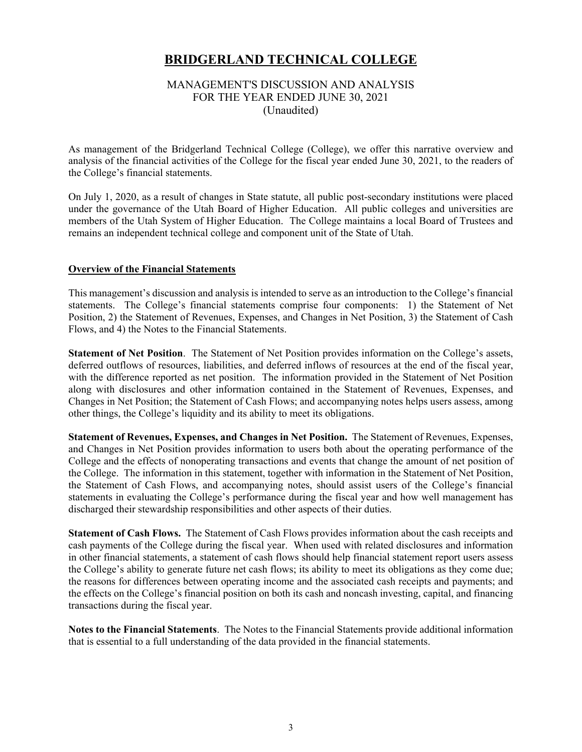#### MANAGEMENT'S DISCUSSION AND ANALYSIS FOR THE YEAR ENDED JUNE 30, 2021 (Unaudited)

As management of the Bridgerland Technical College (College), we offer this narrative overview and analysis of the financial activities of the College for the fiscal year ended June 30, 2021, to the readers of the College's financial statements.

On July 1, 2020, as a result of changes in State statute, all public post-secondary institutions were placed under the governance of the Utah Board of Higher Education. All public colleges and universities are members of the Utah System of Higher Education. The College maintains a local Board of Trustees and remains an independent technical college and component unit of the State of Utah.

#### **Overview of the Financial Statements**

This management's discussion and analysis is intended to serve as an introduction to the College's financial statements. The College's financial statements comprise four components: 1) the Statement of Net Position, 2) the Statement of Revenues, Expenses, and Changes in Net Position, 3) the Statement of Cash Flows, and 4) the Notes to the Financial Statements.

**Statement of Net Position**. The Statement of Net Position provides information on the College's assets, deferred outflows of resources, liabilities, and deferred inflows of resources at the end of the fiscal year, with the difference reported as net position. The information provided in the Statement of Net Position along with disclosures and other information contained in the Statement of Revenues, Expenses, and Changes in Net Position; the Statement of Cash Flows; and accompanying notes helps users assess, among other things, the College's liquidity and its ability to meet its obligations.

**Statement of Revenues, Expenses, and Changes in Net Position.** The Statement of Revenues, Expenses, and Changes in Net Position provides information to users both about the operating performance of the College and the effects of nonoperating transactions and events that change the amount of net position of the College. The information in this statement, together with information in the Statement of Net Position, the Statement of Cash Flows, and accompanying notes, should assist users of the College's financial statements in evaluating the College's performance during the fiscal year and how well management has discharged their stewardship responsibilities and other aspects of their duties.

**Statement of Cash Flows.** The Statement of Cash Flows provides information about the cash receipts and cash payments of the College during the fiscal year. When used with related disclosures and information in other financial statements, a statement of cash flows should help financial statement report users assess the College's ability to generate future net cash flows; its ability to meet its obligations as they come due; the reasons for differences between operating income and the associated cash receipts and payments; and the effects on the College's financial position on both its cash and noncash investing, capital, and financing transactions during the fiscal year.

**Notes to the Financial Statements**. The Notes to the Financial Statements provide additional information that is essential to a full understanding of the data provided in the financial statements.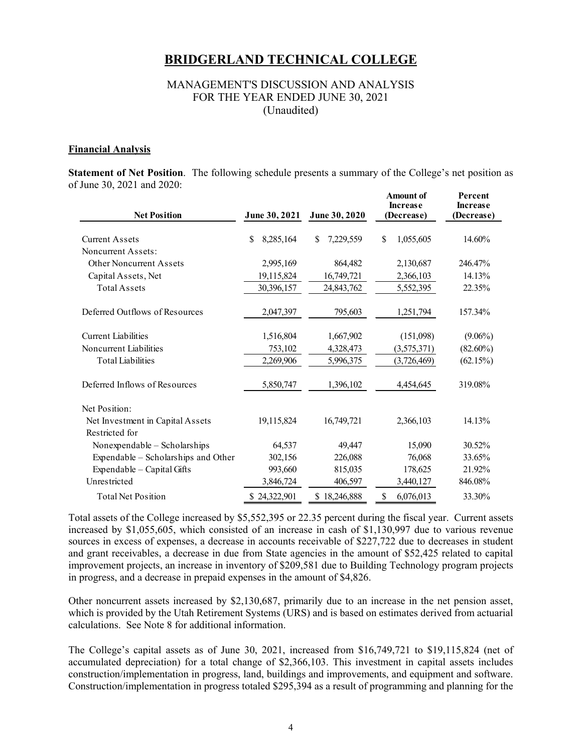### MANAGEMENT'S DISCUSSION AND ANALYSIS FOR THE YEAR ENDED JUNE 30, 2021 (Unaudited)

#### **Financial Analysis**

**Statement of Net Position**. The following schedule presents a summary of the College's net position as of June 30, 2021 and 2020:

| <b>Net Position</b>                 | June 30, 2021    | June 30, 2020   | <b>Amount</b> of<br><b>Increase</b><br>(Decrease) | Percent<br><b>Increase</b><br>(Decrease) |
|-------------------------------------|------------------|-----------------|---------------------------------------------------|------------------------------------------|
| <b>Current Assets</b>               | 8,285,164<br>\$. | 7,229,559<br>\$ | \$<br>1,055,605                                   | 14.60%                                   |
| Noncurrent Assets:                  |                  |                 |                                                   |                                          |
| <b>Other Noncurrent Assets</b>      | 2,995,169        | 864,482         | 2,130,687                                         | 246.47%                                  |
| Capital Assets, Net                 | 19,115,824       | 16,749,721      | 2,366,103                                         | 14.13%                                   |
| <b>Total Assets</b>                 | 30,396,157       | 24,843,762      | 5,552,395                                         | 22.35%                                   |
| Deferred Outflows of Resources      | 2,047,397        | 795,603         | 1,251,794                                         | 157.34%                                  |
| <b>Current Liabilities</b>          | 1,516,804        | 1,667,902       | (151,098)                                         | $(9.06\%)$                               |
| Noncurrent Liabilities              | 753,102          | 4,328,473       | (3,575,371)                                       | $(82.60\%)$                              |
| <b>Total Liabilities</b>            | 2,269,906        | 5,996,375       | (3,726,469)                                       | (62.15%)                                 |
| Deferred Inflows of Resources       | 5,850,747        | 1,396,102       | 4,454,645                                         | 319.08%                                  |
| Net Position:                       |                  |                 |                                                   |                                          |
| Net Investment in Capital Assets    | 19,115,824       | 16,749,721      | 2,366,103                                         | 14.13%                                   |
| Restricted for                      |                  |                 |                                                   |                                          |
| Nonexpendable - Scholarships        | 64,537           | 49,447          | 15,090                                            | 30.52%                                   |
| Expendable - Scholarships and Other | 302,156          | 226,088         | 76,068                                            | 33.65%                                   |
| Expendable – Capital Gifts          | 993,660          | 815,035         | 178,625                                           | 21.92%                                   |
| Unrestricted                        | 3,846,724        | 406,597         | 3,440,127                                         | 846.08%                                  |
| <b>Total Net Position</b>           | \$24,322,901     | \$18,246,888    | \$<br>6,076,013                                   | 33.30%                                   |

Total assets of the College increased by \$5,552,395 or 22.35 percent during the fiscal year. Current assets increased by \$1,055,605, which consisted of an increase in cash of \$1,130,997 due to various revenue sources in excess of expenses, a decrease in accounts receivable of \$227,722 due to decreases in student and grant receivables, a decrease in due from State agencies in the amount of \$52,425 related to capital improvement projects, an increase in inventory of \$209,581 due to Building Technology program projects in progress, and a decrease in prepaid expenses in the amount of \$4,826.

Other noncurrent assets increased by \$2,130,687, primarily due to an increase in the net pension asset, which is provided by the Utah Retirement Systems (URS) and is based on estimates derived from actuarial calculations. See Note 8 for additional information.

The College's capital assets as of June 30, 2021, increased from \$16,749,721 to \$19,115,824 (net of accumulated depreciation) for a total change of \$2,366,103. This investment in capital assets includes construction/implementation in progress, land, buildings and improvements, and equipment and software. Construction/implementation in progress totaled \$295,394 as a result of programming and planning for the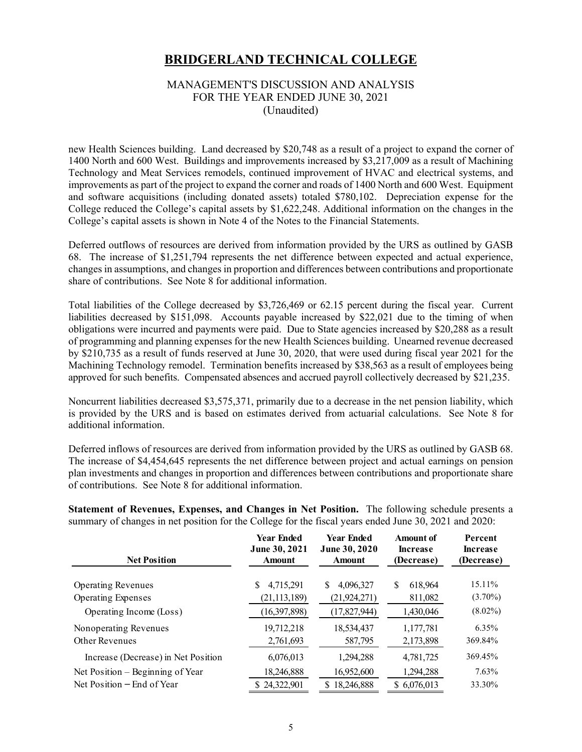#### MANAGEMENT'S DISCUSSION AND ANALYSIS FOR THE YEAR ENDED JUNE 30, 2021 (Unaudited)

new Health Sciences building. Land decreased by \$20,748 as a result of a project to expand the corner of 1400 North and 600 West. Buildings and improvements increased by \$3,217,009 as a result of Machining Technology and Meat Services remodels, continued improvement of HVAC and electrical systems, and improvements as part of the project to expand the corner and roads of 1400 North and 600 West. Equipment and software acquisitions (including donated assets) totaled \$780,102. Depreciation expense for the College reduced the College's capital assets by \$1,622,248. Additional information on the changes in the College's capital assets is shown in Note 4 of the Notes to the Financial Statements.

Deferred outflows of resources are derived from information provided by the URS as outlined by GASB 68. The increase of \$1,251,794 represents the net difference between expected and actual experience, changes in assumptions, and changes in proportion and differences between contributions and proportionate share of contributions. See Note 8 for additional information.

Total liabilities of the College decreased by \$3,726,469 or 62.15 percent during the fiscal year. Current liabilities decreased by \$151,098. Accounts payable increased by \$22,021 due to the timing of when obligations were incurred and payments were paid. Due to State agencies increased by \$20,288 as a result of programming and planning expenses for the new Health Sciences building. Unearned revenue decreased by \$210,735 as a result of funds reserved at June 30, 2020, that were used during fiscal year 2021 for the Machining Technology remodel. Termination benefits increased by \$38,563 as a result of employees being approved for such benefits. Compensated absences and accrued payroll collectively decreased by \$21,235.

Noncurrent liabilities decreased \$3,575,371, primarily due to a decrease in the net pension liability, which is provided by the URS and is based on estimates derived from actuarial calculations. See Note 8 for additional information.

Deferred inflows of resources are derived from information provided by the URS as outlined by GASB 68. The increase of \$4,454,645 represents the net difference between project and actual earnings on pension plan investments and changes in proportion and differences between contributions and proportionate share of contributions. See Note 8 for additional information.

**Statement of Revenues, Expenses, and Changes in Net Position.** The following schedule presents a summary of changes in net position for the College for the fiscal years ended June 30, 2021 and 2020:

| <b>Net Position</b>                 | <b>Year Ended</b><br>June 30, 2021<br><b>Amount</b> | <b>Year Ended</b><br>June 30, 2020<br><b>Amount</b> | <b>Amount of</b><br><b>Increase</b><br>(Decrease) | Percent<br><b>Increase</b><br>(Decrease) |
|-------------------------------------|-----------------------------------------------------|-----------------------------------------------------|---------------------------------------------------|------------------------------------------|
| <b>Operating Revenues</b>           | S.<br>4,715,291                                     | 4,096,327<br>S.                                     | \$<br>618.964                                     | 15.11%                                   |
| <b>Operating Expenses</b>           | (21, 113, 189)                                      | (21, 924, 271)                                      | 811,082                                           | $(3.70\%)$                               |
| Operating Income (Loss)             | (16,397,898)                                        | (17, 827, 944)                                      | 1,430,046                                         | $(8.02\%)$                               |
| Nonoperating Revenues               | 19,712,218                                          | 18,534,437                                          | 1,177,781                                         | 6.35%                                    |
| Other Revenues                      | 2,761,693                                           | 587,795                                             | 2,173,898                                         | 369.84%                                  |
| Increase (Decrease) in Net Position | 6,076,013                                           | 1.294.288                                           | 4,781,725                                         | 369.45%                                  |
| Net Position - Beginning of Year    | 18,246,888                                          | 16,952,600                                          | 1,294,288                                         | 7.63%                                    |
| Net Position – End of Year          | \$24,322,901                                        | \$18,246,888                                        | \$6,076,013                                       | 33.30%                                   |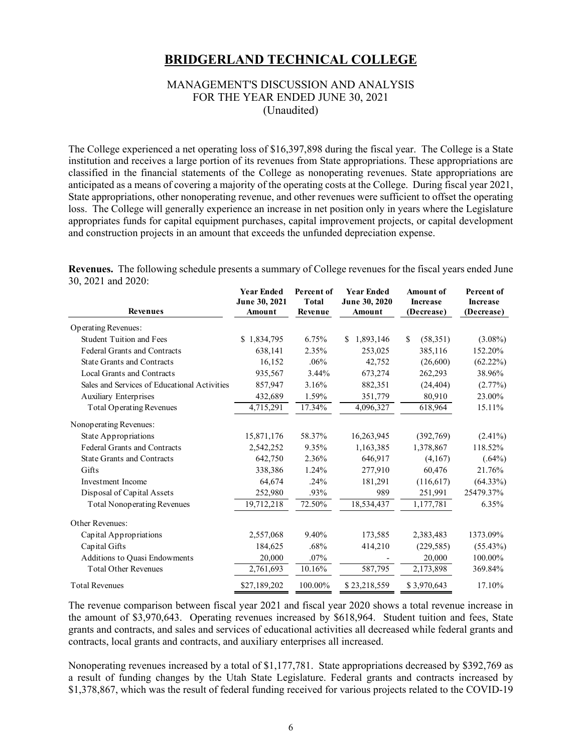#### MANAGEMENT'S DISCUSSION AND ANALYSIS FOR THE YEAR ENDED JUNE 30, 2021 (Unaudited)

The College experienced a net operating loss of \$16,397,898 during the fiscal year. The College is a State institution and receives a large portion of its revenues from State appropriations. These appropriations are classified in the financial statements of the College as nonoperating revenues. State appropriations are anticipated as a means of covering a majority of the operating costs at the College. During fiscal year 2021, State appropriations, other nonoperating revenue, and other revenues were sufficient to offset the operating loss. The College will generally experience an increase in net position only in years where the Legislature appropriates funds for capital equipment purchases, capital improvement projects, or capital development and construction projects in an amount that exceeds the unfunded depreciation expense.

**Revenues.** The following schedule presents a summary of College revenues for the fiscal years ended June 30, 2021 and 2020:

| <b>Revenues</b>                              | <b>Year Ended</b><br>June 30, 2021<br>Amount | Percent of<br><b>Total</b><br>Revenue | <b>Year Ended</b><br>June 30, 2020<br>Amount | <b>Amount of</b><br>Increase<br>(Decrease) | Percent of<br><b>Increase</b><br>(Decrease) |
|----------------------------------------------|----------------------------------------------|---------------------------------------|----------------------------------------------|--------------------------------------------|---------------------------------------------|
| Operating Revenues:                          |                                              |                                       |                                              |                                            |                                             |
| <b>Student Tuition and Fees</b>              | \$1,834,795                                  | 6.75%                                 | 1,893,146<br>S.                              | \$<br>(58, 351)                            | $(3.08\%)$                                  |
| Federal Grants and Contracts                 | 638,141                                      | 2.35%                                 | 253,025                                      | 385,116                                    | 152.20%                                     |
| <b>State Grants and Contracts</b>            | 16,152                                       | .06%                                  | 42,752                                       | (26,600)                                   | $(62.22\%)$                                 |
| Local Grants and Contracts                   | 935,567                                      | 3.44%                                 | 673,274                                      | 262,293                                    | 38.96%                                      |
| Sales and Services of Educational Activities | 857,947                                      | 3.16%                                 | 882,351                                      | (24, 404)                                  | (2.77%)                                     |
| <b>Auxiliary Enterprises</b>                 | 432,689                                      | 1.59%                                 | 351,779                                      | 80,910                                     | 23.00%                                      |
| <b>Total Operating Revenues</b>              | 4,715,291                                    | 17.34%                                | 4,096,327                                    | 618,964                                    | 15.11%                                      |
| Nonoperating Revenues:                       |                                              |                                       |                                              |                                            |                                             |
| <b>State Appropriations</b>                  | 15,871,176                                   | 58.37%                                | 16,263,945                                   | (392,769)                                  | $(2.41\%)$                                  |
| <b>Federal Grants and Contracts</b>          | 2,542,252                                    | 9.35%                                 | 1,163,385                                    | 1,378,867                                  | 118.52%                                     |
| <b>State Grants and Contracts</b>            | 642,750                                      | 2.36%                                 | 646,917                                      | (4,167)                                    | $(.64\%)$                                   |
| Gifts                                        | 338,386                                      | 1.24%                                 | 277,910                                      | 60,476                                     | 21.76%                                      |
| Investment Income                            | 64,674                                       | .24%                                  | 181,291                                      | (116, 617)                                 | $(64.33\%)$                                 |
| Disposal of Capital Assets                   | 252,980                                      | .93%                                  | 989                                          | 251,991                                    | 25479.37%                                   |
| <b>Total Nonoperating Revenues</b>           | 19,712,218                                   | 72.50%                                | 18,534,437                                   | 1,177,781                                  | 6.35%                                       |
| Other Revenues:                              |                                              |                                       |                                              |                                            |                                             |
| Capital Appropriations                       | 2,557,068                                    | 9.40%                                 | 173,585                                      | 2,383,483                                  | 1373.09%                                    |
| Capital Gifts                                | 184,625                                      | .68%                                  | 414,210                                      | (229, 585)                                 | $(55.43\%)$                                 |
| Additions to Quasi Endowments                | 20,000                                       | .07%                                  |                                              | 20,000                                     | 100.00%                                     |
| <b>Total Other Revenues</b>                  | 2,761,693                                    | 10.16%                                | 587,795                                      | 2,173,898                                  | 369.84%                                     |
| <b>Total Revenues</b>                        | \$27,189,202                                 | 100.00%                               | \$23,218,559                                 | \$3,970,643                                | 17.10%                                      |

The revenue comparison between fiscal year 2021 and fiscal year 2020 shows a total revenue increase in the amount of \$3,970,643. Operating revenues increased by \$618,964. Student tuition and fees, State grants and contracts, and sales and services of educational activities all decreased while federal grants and contracts, local grants and contracts, and auxiliary enterprises all increased.

Nonoperating revenues increased by a total of \$1,177,781. State appropriations decreased by \$392,769 as a result of funding changes by the Utah State Legislature. Federal grants and contracts increased by \$1,378,867, which was the result of federal funding received for various projects related to the COVID-19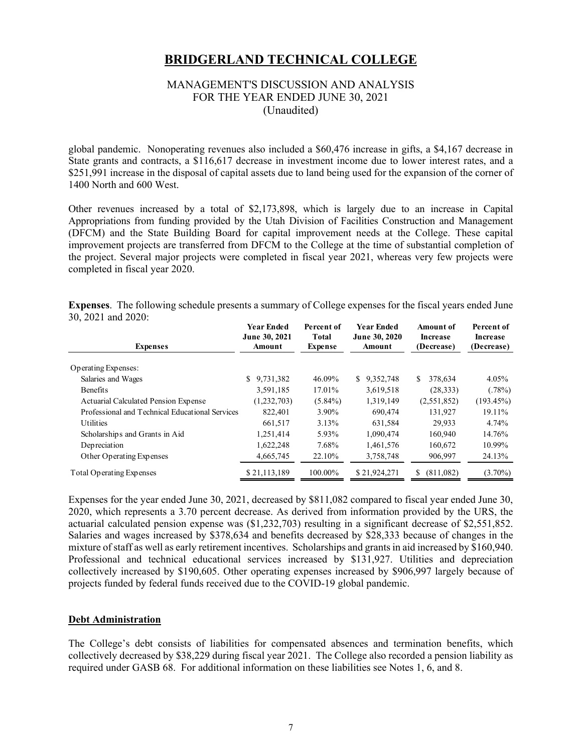#### MANAGEMENT'S DISCUSSION AND ANALYSIS FOR THE YEAR ENDED JUNE 30, 2021 (Unaudited)

global pandemic. Nonoperating revenues also included a \$60,476 increase in gifts, a \$4,167 decrease in State grants and contracts, a \$116,617 decrease in investment income due to lower interest rates, and a \$251,991 increase in the disposal of capital assets due to land being used for the expansion of the corner of 1400 North and 600 West.

Other revenues increased by a total of \$2,173,898, which is largely due to an increase in Capital Appropriations from funding provided by the Utah Division of Facilities Construction and Management (DFCM) and the State Building Board for capital improvement needs at the College. These capital improvement projects are transferred from DFCM to the College at the time of substantial completion of the project. Several major projects were completed in fiscal year 2021, whereas very few projects were completed in fiscal year 2020.

**Expenses**. The following schedule presents a summary of College expenses for the fiscal years ended June 30, 2021 and 2020:

| <b>Expenses</b>                                 | <b>Year Ended</b><br>June 30, 2021<br>Amount | Percent of<br><b>Total</b><br><b>Expense</b> | <b>Year Ended</b><br>June 30, 2020<br>Amount | <b>Amount of</b><br><b>Increase</b><br>(Decrease) | Percent of<br><b>Increase</b><br>(Decrease) |
|-------------------------------------------------|----------------------------------------------|----------------------------------------------|----------------------------------------------|---------------------------------------------------|---------------------------------------------|
| Operating Expenses:                             |                                              |                                              |                                              |                                                   |                                             |
| Salaries and Wages                              | 9,731,382<br>S.                              | 46.09%                                       | \$9,352,748                                  | 378,634<br>S.                                     | 4.05%                                       |
| <b>Benefits</b>                                 | 3,591,185                                    | 17.01%                                       | 3,619,518                                    | (28, 333)                                         | (.78%)                                      |
| Actuarial Calculated Pension Expense            | (1,232,703)                                  | $(5.84\%)$                                   | 1,319,149                                    | (2,551,852)                                       | (193.45%)                                   |
| Professional and Technical Educational Services | 822.401                                      | 3.90%                                        | 690,474                                      | 131.927                                           | 19.11%                                      |
| <b>Utilities</b>                                | 661,517                                      | 3.13%                                        | 631,584                                      | 29,933                                            | 4.74%                                       |
| Scholarships and Grants in Aid                  | 1,251,414                                    | 5.93%                                        | 1,090,474                                    | 160,940                                           | 14.76%                                      |
| Depreciation                                    | 1,622,248                                    | 7.68%                                        | 1,461,576                                    | 160,672                                           | 10.99%                                      |
| Other Operating Expenses                        | 4,665,745                                    | 22.10%                                       | 3,758,748                                    | 906,997                                           | 24.13%                                      |
| <b>Total Operating Expenses</b>                 | \$21,113,189                                 | 100.00%                                      | \$21,924,271                                 | (811,082)<br>S.                                   | $(3.70\%)$                                  |

Expenses for the year ended June 30, 2021, decreased by \$811,082 compared to fiscal year ended June 30, 2020, which represents a 3.70 percent decrease. As derived from information provided by the URS, the actuarial calculated pension expense was (\$1,232,703) resulting in a significant decrease of \$2,551,852. Salaries and wages increased by \$378,634 and benefits decreased by \$28,333 because of changes in the mixture of staff as well as early retirement incentives. Scholarships and grants in aid increased by \$160,940. Professional and technical educational services increased by \$131,927. Utilities and depreciation collectively increased by \$190,605. Other operating expenses increased by \$906,997 largely because of projects funded by federal funds received due to the COVID-19 global pandemic.

#### **Debt Administration**

The College's debt consists of liabilities for compensated absences and termination benefits, which collectively decreased by \$38,229 during fiscal year 2021. The College also recorded a pension liability as required under GASB 68. For additional information on these liabilities see Notes 1, 6, and 8.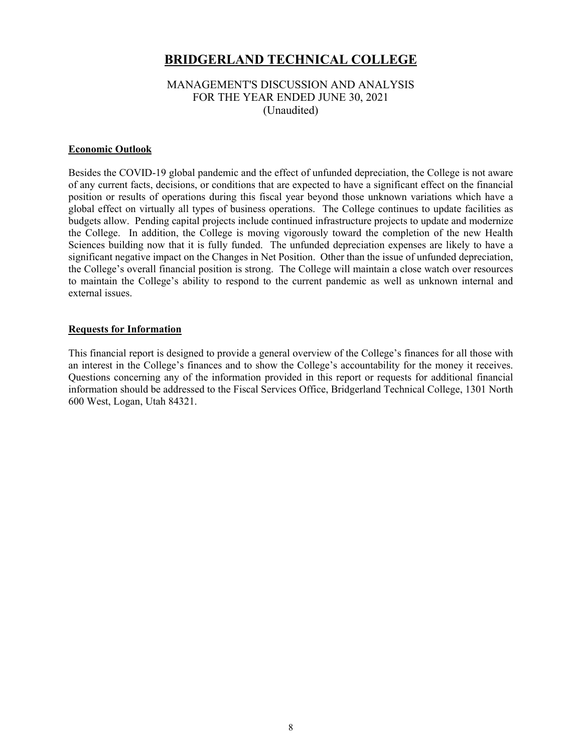### MANAGEMENT'S DISCUSSION AND ANALYSIS FOR THE YEAR ENDED JUNE 30, 2021 (Unaudited)

#### **Economic Outlook**

Besides the COVID-19 global pandemic and the effect of unfunded depreciation, the College is not aware of any current facts, decisions, or conditions that are expected to have a significant effect on the financial position or results of operations during this fiscal year beyond those unknown variations which have a global effect on virtually all types of business operations. The College continues to update facilities as budgets allow. Pending capital projects include continued infrastructure projects to update and modernize the College. In addition, the College is moving vigorously toward the completion of the new Health Sciences building now that it is fully funded. The unfunded depreciation expenses are likely to have a significant negative impact on the Changes in Net Position. Other than the issue of unfunded depreciation, the College's overall financial position is strong. The College will maintain a close watch over resources to maintain the College's ability to respond to the current pandemic as well as unknown internal and external issues.

#### **Requests for Information**

This financial report is designed to provide a general overview of the College's finances for all those with an interest in the College's finances and to show the College's accountability for the money it receives. Questions concerning any of the information provided in this report or requests for additional financial information should be addressed to the Fiscal Services Office, Bridgerland Technical College, 1301 North 600 West, Logan, Utah 84321.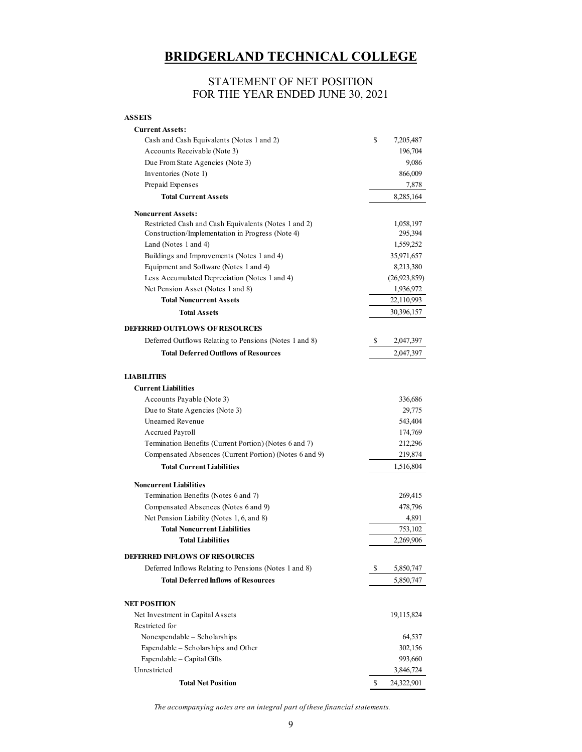## STATEMENT OF NET POSITION FOR THE YEAR ENDED JUNE 30, 2021

| ASSETS                                                 |                  |
|--------------------------------------------------------|------------------|
| <b>Current Assets:</b>                                 |                  |
| Cash and Cash Equivalents (Notes 1 and 2)              | \$<br>7,205,487  |
| Accounts Receivable (Note 3)                           | 196,704          |
| Due From State Agencies (Note 3)                       | 9,086            |
| Inventories (Note 1)                                   | 866,009          |
| Prepaid Expenses                                       | 7,878            |
| <b>Total Current Assets</b>                            | 8,285,164        |
| <b>Noncurrent Assets:</b>                              |                  |
| Restricted Cash and Cash Equivalents (Notes 1 and 2)   | 1,058,197        |
| Construction/Implementation in Progress (Note 4)       | 295,394          |
| Land (Notes 1 and 4)                                   | 1,559,252        |
| Buildings and Improvements (Notes 1 and 4)             | 35,971,657       |
| Equipment and Software (Notes 1 and 4)                 | 8,213,380        |
| Less Accumulated Depreciation (Notes 1 and 4)          | (26,923,859)     |
| Net Pension Asset (Notes 1 and 8)                      | 1,936,972        |
| <b>Total Noncurrent Assets</b>                         | 22,110,993       |
| <b>Total Assets</b>                                    | 30,396,157       |
| <b>DEFERRED OUTFLOWS OF RESOURCES</b>                  |                  |
| Deferred Outflows Relating to Pensions (Notes 1 and 8) | \$<br>2,047,397  |
| <b>Total Deferred Outflows of Resources</b>            | 2,047,397        |
| LIABILITIES                                            |                  |
| <b>Current Liabilities</b>                             |                  |
| Accounts Payable (Note 3)                              | 336,686          |
| Due to State Agencies (Note 3)                         | 29,775           |
| Unearned Revenue                                       | 543,404          |
| Accrued Payroll                                        | 174,769          |
| Termination Benefits (Current Portion) (Notes 6 and 7) | 212,296          |
| Compensated Absences (Current Portion) (Notes 6 and 9) | 219,874          |
| <b>Total Current Liabilities</b>                       | 1,516,804        |
| <b>Noncurrent Liabilities</b>                          |                  |
| Termination Benefits (Notes 6 and 7)                   | 269,415          |
| Compensated Absences (Notes 6 and 9)                   | 478,796          |
| Net Pension Liability (Notes 1, 6, and 8)              | 4,891            |
| <b>Total Noncurrent Liabilities</b>                    | 753,102          |
| <b>Total Liabilities</b>                               | 2,269,906        |
| DEFERRED INFLOWS OF RESOURCES                          |                  |
| Deferred Inflows Relating to Pensions (Notes 1 and 8)  | \$<br>5,850,747  |
| <b>Total Deferred Inflows of Resources</b>             | 5,850,747        |
| NET POSITION                                           |                  |
| Net Investment in Capital Assets                       | 19,115,824       |
| Restricted for                                         |                  |
| Nonexpendable - Scholarships                           | 64,537           |
| Expendable - Scholarships and Other                    | 302,156          |
| Expendable - Capital Gifts                             | 993,660          |
| Unrestricted                                           | 3,846,724        |
| <b>Total Net Position</b>                              | \$<br>24,322,901 |

*The accompanying notes are an integral part of these financial statements.*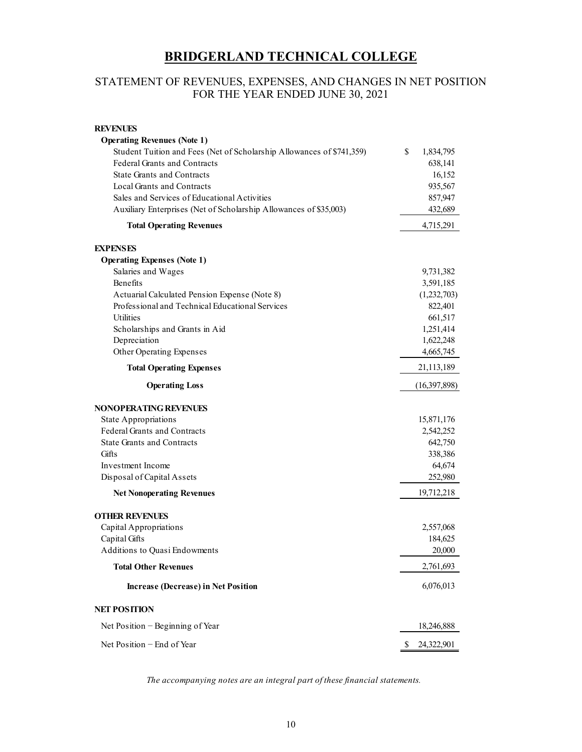## STATEMENT OF REVENUES, EXPENSES, AND CHANGES IN NET POSITION FOR THE YEAR ENDED JUNE 30, 2021

| <b>REVENUES</b>                                                       |    |              |
|-----------------------------------------------------------------------|----|--------------|
| <b>Operating Revenues (Note 1)</b>                                    |    |              |
| Student Tuition and Fees (Net of Scholarship Allowances of \$741,359) | \$ | 1,834,795    |
| Federal Grants and Contracts                                          |    | 638,141      |
| <b>State Grants and Contracts</b>                                     |    | 16,152       |
| Local Grants and Contracts                                            |    | 935,567      |
| Sales and Services of Educational Activities                          |    | 857,947      |
| Auxiliary Enterprises (Net of Scholarship Allowances of \$35,003)     |    | 432,689      |
| <b>Total Operating Revenues</b>                                       |    | 4,715,291    |
| <b>EXPENSES</b>                                                       |    |              |
| <b>Operating Expenses (Note 1)</b>                                    |    |              |
| Salaries and Wages                                                    |    | 9,731,382    |
| Benefits                                                              |    | 3,591,185    |
| Actuarial Calculated Pension Expense (Note 8)                         |    | (1,232,703)  |
| Professional and Technical Educational Services                       |    | 822,401      |
| Utilities                                                             |    | 661,517      |
| Scholarships and Grants in Aid                                        |    | 1,251,414    |
| Depreciation                                                          |    | 1,622,248    |
| Other Operating Expenses                                              |    | 4,665,745    |
| <b>Total Operating Expenses</b>                                       |    | 21,113,189   |
| <b>Operating Loss</b>                                                 |    | (16,397,898) |
| <b>NONOPERATING REVENUES</b>                                          |    |              |
| <b>State Appropriations</b>                                           |    | 15,871,176   |
| <b>Federal Grants and Contracts</b>                                   |    | 2,542,252    |
| <b>State Grants and Contracts</b>                                     |    | 642,750      |
| Gifts                                                                 |    | 338,386      |
| Investment Income                                                     |    | 64,674       |
| Disposal of Capital Assets                                            |    | 252,980      |
| <b>Net Nonoperating Revenues</b>                                      |    | 19,712,218   |
| <b>OTHER REVENUES</b>                                                 |    |              |
| Capital Appropriations                                                |    | 2,557,068    |
| Capital Gifts                                                         |    | 184,625      |
| Additions to Quasi Endowments                                         |    | 20,000       |
| <b>Total Other Revenues</b>                                           |    | 2,761,693    |
| <b>Increase (Decrease) in Net Position</b>                            |    | 6,076,013    |
| <b>NET POSITION</b>                                                   |    |              |
| Net Position - Beginning of Year                                      |    | 18,246,888   |
| Net Position - End of Year                                            | S. | 24,322,901   |

*The accompanying notes are an integral part of these financial statements.*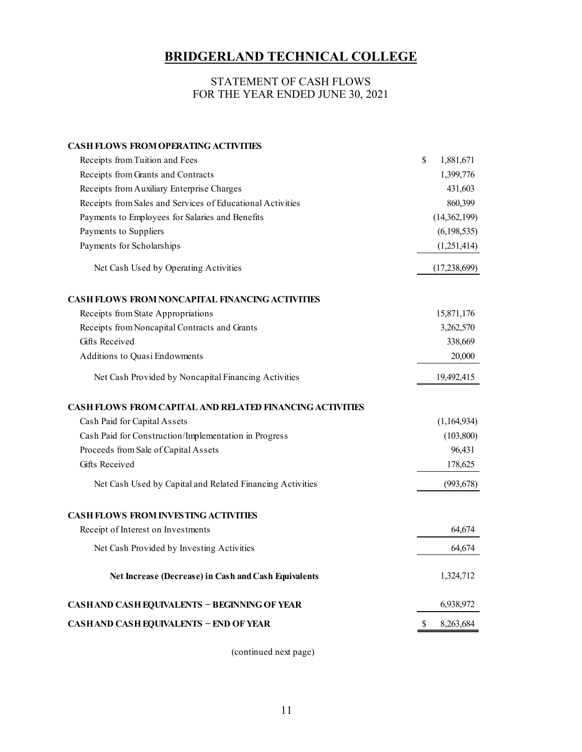## STATEMENT OF CASH FLOWS FOR THE YEAR ENDED JUNE 30, 2021

| <b>CASH FLOWS FROM OPERATING ACTIVITIES</b>                     |                 |
|-----------------------------------------------------------------|-----------------|
| Receipts from Tuition and Fees                                  | \$<br>1,881,671 |
| Receipts from Grants and Contracts                              | 1,399,776       |
| Receipts from Auxiliary Enterprise Charges                      | 431,603         |
| Receipts from Sales and Services of Educational Activities      | 860,399         |
| Payments to Employees for Salaries and Benefits                 | (14,362,199)    |
| Payments to Suppliers                                           | (6,198,535)     |
| Payments for Scholarships                                       | (1,251,414)     |
| Net Cash Used by Operating Activities                           | (17, 238, 699)  |
| <b>CASH FLOWS FROM NONCAPITAL FINANCING ACTIVITIES</b>          |                 |
| Receipts from State Appropriations                              | 15,871,176      |
| Receipts from Noncapital Contracts and Grants                   | 3,262,570       |
| <b>Gifts Received</b>                                           | 338,669         |
| Additions to Quasi Endowments                                   | 20,000          |
| Net Cash Provided by Noncapital Financing Activities            | 19,492,415      |
| <b>CASH FLOWS FROM CAPITAL AND RELATED FINANCING ACTIVITIES</b> |                 |
| Cash Paid for Capital Assets                                    | (1,164,934)     |
| Cash Paid for Construction/Implementation in Progress           | (103, 800)      |
| Proceeds from Sale of Capital Assets                            | 96,431          |
| Gifts Received                                                  | 178,625         |
| Net Cash Used by Capital and Related Financing Activities       | (993, 678)      |
| <b>CASH FLOWS FROM INVESTING ACTIVITIES</b>                     |                 |
| Receipt of Interest on Investments                              | 64,674          |
| Net Cash Provided by Investing Activities                       | 64,674          |
| Net Increase (Decrease) in Cash and Cash Equivalents            | 1,324,712       |
| <b>CASHAND CASH EQUIVALENTS - BEGINNING OF YEAR</b>             | 6,938,972       |
| <b>CASHAND CASH EQUIVALENTS - END OF YEAR</b>                   | \$<br>8,263,684 |

(continued next page)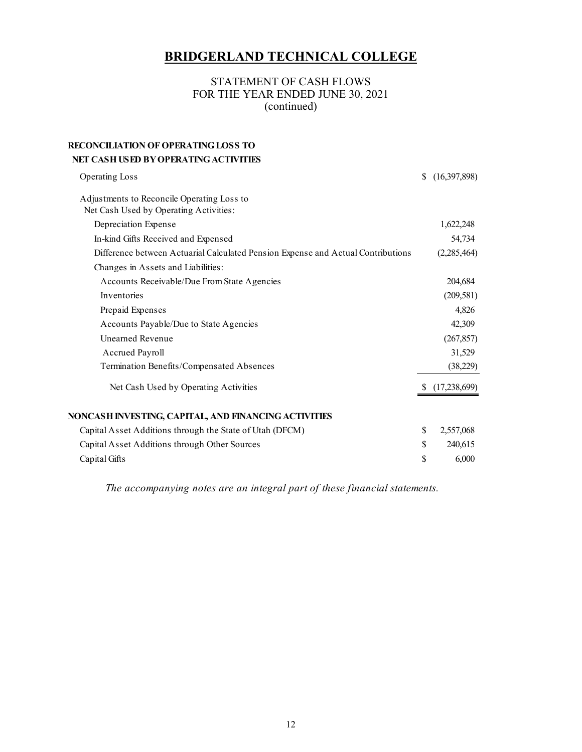### STATEMENT OF CASH FLOWS FOR THE YEAR ENDED JUNE 30, 2021 (continued)

### **RECONCILIATION OF OPERATING LOSS TO NET CASH USED BY OPERATING ACTIVITIES**

| Operating Loss                                                                   | \$. | (16,397,898)   |
|----------------------------------------------------------------------------------|-----|----------------|
| Adjustments to Reconcile Operating Loss to                                       |     |                |
| Net Cash Used by Operating Activities:                                           |     |                |
| Depreciation Expense                                                             |     | 1,622,248      |
| In-kind Gifts Received and Expensed                                              |     | 54,734         |
| Difference between Actuarial Calculated Pension Expense and Actual Contributions |     | (2,285,464)    |
| Changes in Assets and Liabilities:                                               |     |                |
| Accounts Receivable/Due From State Agencies                                      |     | 204,684        |
| Inventories                                                                      |     | (209, 581)     |
| Prepaid Expenses                                                                 |     | 4,826          |
| Accounts Payable/Due to State Agencies                                           |     | 42,309         |
| <b>Unearned Revenue</b>                                                          |     | (267, 857)     |
| Accrued Payroll                                                                  |     | 31,529         |
| Termination Benefits/Compensated Absences                                        |     | (38,229)       |
| Net Cash Used by Operating Activities                                            |     | (17, 238, 699) |
| NONCASH INVESTING, CAPITAL, AND FINANCING ACTIVITIES                             |     |                |
| Capital Asset Additions through the State of Utah (DFCM)                         | \$  | 2,557,068      |
| Capital Asset Additions through Other Sources                                    | S   | 240,615        |
| Capital Gifts                                                                    | \$  | 6,000          |

*The accompanying notes are an integral part of these financial statements.*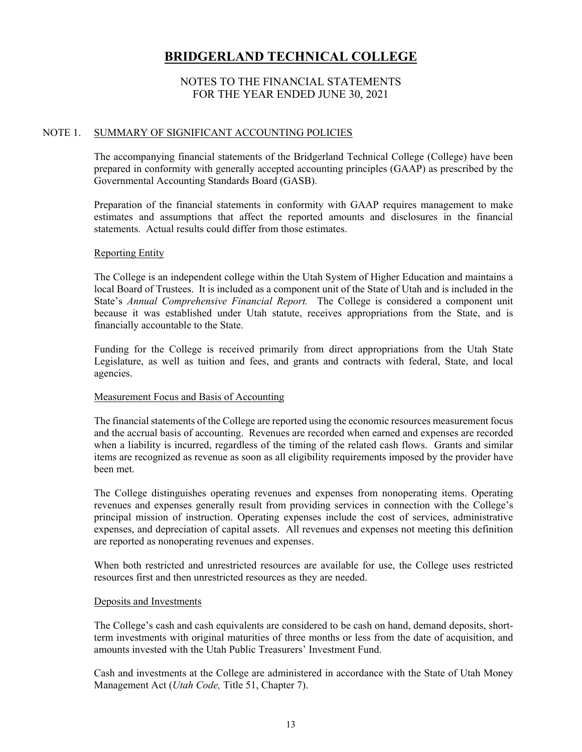### NOTES TO THE FINANCIAL STATEMENTS FOR THE YEAR ENDED JUNE 30, 2021

#### NOTE 1. SUMMARY OF SIGNIFICANT ACCOUNTING POLICIES

The accompanying financial statements of the Bridgerland Technical College (College) have been prepared in conformity with generally accepted accounting principles (GAAP) as prescribed by the Governmental Accounting Standards Board (GASB).

Preparation of the financial statements in conformity with GAAP requires management to make estimates and assumptions that affect the reported amounts and disclosures in the financial statements. Actual results could differ from those estimates.

#### Reporting Entity

The College is an independent college within the Utah System of Higher Education and maintains a local Board of Trustees. It is included as a component unit of the State of Utah and is included in the State's *Annual Comprehensive Financial Report.* The College is considered a component unit because it was established under Utah statute, receives appropriations from the State, and is financially accountable to the State.

Funding for the College is received primarily from direct appropriations from the Utah State Legislature, as well as tuition and fees, and grants and contracts with federal, State, and local agencies.

#### Measurement Focus and Basis of Accounting

The financial statements of the College are reported using the economic resources measurement focus and the accrual basis of accounting. Revenues are recorded when earned and expenses are recorded when a liability is incurred, regardless of the timing of the related cash flows. Grants and similar items are recognized as revenue as soon as all eligibility requirements imposed by the provider have been met.

The College distinguishes operating revenues and expenses from nonoperating items. Operating revenues and expenses generally result from providing services in connection with the College's principal mission of instruction. Operating expenses include the cost of services, administrative expenses, and depreciation of capital assets. All revenues and expenses not meeting this definition are reported as nonoperating revenues and expenses.

When both restricted and unrestricted resources are available for use, the College uses restricted resources first and then unrestricted resources as they are needed.

#### Deposits and Investments

The College's cash and cash equivalents are considered to be cash on hand, demand deposits, shortterm investments with original maturities of three months or less from the date of acquisition, and amounts invested with the Utah Public Treasurers' Investment Fund.

Cash and investments at the College are administered in accordance with the State of Utah Money Management Act (*Utah Code,* Title 51, Chapter 7).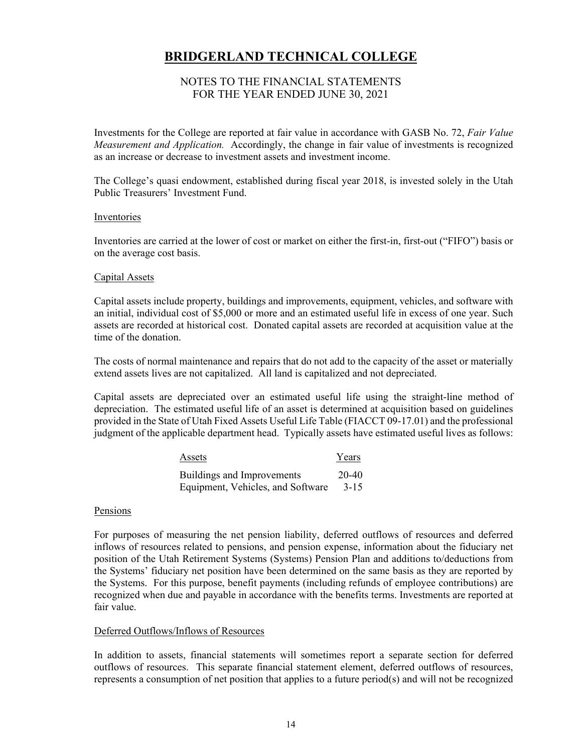### NOTES TO THE FINANCIAL STATEMENTS FOR THE YEAR ENDED JUNE 30, 2021

Investments for the College are reported at fair value in accordance with GASB No. 72, *Fair Value Measurement and Application.* Accordingly, the change in fair value of investments is recognized as an increase or decrease to investment assets and investment income.

The College's quasi endowment, established during fiscal year 2018, is invested solely in the Utah Public Treasurers' Investment Fund.

#### Inventories

Inventories are carried at the lower of cost or market on either the first-in, first-out ("FIFO") basis or on the average cost basis.

#### Capital Assets

Capital assets include property, buildings and improvements, equipment, vehicles, and software with an initial, individual cost of \$5,000 or more and an estimated useful life in excess of one year. Such assets are recorded at historical cost. Donated capital assets are recorded at acquisition value at the time of the donation.

The costs of normal maintenance and repairs that do not add to the capacity of the asset or materially extend assets lives are not capitalized. All land is capitalized and not depreciated.

Capital assets are depreciated over an estimated useful life using the straight-line method of depreciation. The estimated useful life of an asset is determined at acquisition based on guidelines provided in the State of Utah Fixed Assets Useful Life Table (FIACCT 09-17.01) and the professional judgment of the applicable department head. Typically assets have estimated useful lives as follows:

| Assets                            | Years    |
|-----------------------------------|----------|
| Buildings and Improvements        | $20-40$  |
| Equipment, Vehicles, and Software | $3 - 15$ |

#### Pensions

For purposes of measuring the net pension liability, deferred outflows of resources and deferred inflows of resources related to pensions, and pension expense, information about the fiduciary net position of the Utah Retirement Systems (Systems) Pension Plan and additions to/deductions from the Systems' fiduciary net position have been determined on the same basis as they are reported by the Systems. For this purpose, benefit payments (including refunds of employee contributions) are recognized when due and payable in accordance with the benefits terms. Investments are reported at fair value.

#### Deferred Outflows/Inflows of Resources

In addition to assets, financial statements will sometimes report a separate section for deferred outflows of resources. This separate financial statement element, deferred outflows of resources, represents a consumption of net position that applies to a future period(s) and will not be recognized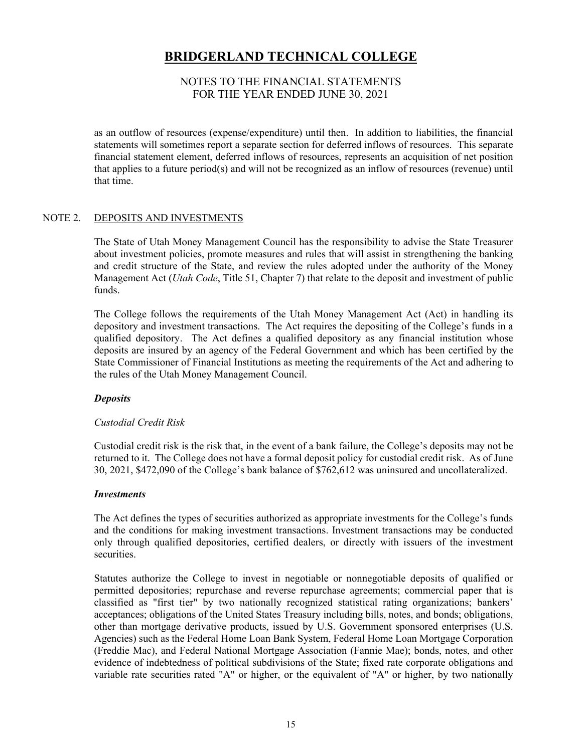### NOTES TO THE FINANCIAL STATEMENTS FOR THE YEAR ENDED JUNE 30, 2021

as an outflow of resources (expense/expenditure) until then. In addition to liabilities, the financial statements will sometimes report a separate section for deferred inflows of resources. This separate financial statement element, deferred inflows of resources, represents an acquisition of net position that applies to a future period(s) and will not be recognized as an inflow of resources (revenue) until that time.

#### NOTE 2. DEPOSITS AND INVESTMENTS

The State of Utah Money Management Council has the responsibility to advise the State Treasurer about investment policies, promote measures and rules that will assist in strengthening the banking and credit structure of the State, and review the rules adopted under the authority of the Money Management Act (*Utah Code*, Title 51, Chapter 7) that relate to the deposit and investment of public funds.

The College follows the requirements of the Utah Money Management Act (Act) in handling its depository and investment transactions. The Act requires the depositing of the College's funds in a qualified depository. The Act defines a qualified depository as any financial institution whose deposits are insured by an agency of the Federal Government and which has been certified by the State Commissioner of Financial Institutions as meeting the requirements of the Act and adhering to the rules of the Utah Money Management Council.

#### *Deposits*

#### *Custodial Credit Risk*

Custodial credit risk is the risk that, in the event of a bank failure, the College's deposits may not be returned to it. The College does not have a formal deposit policy for custodial credit risk. As of June 30, 2021, \$472,090 of the College's bank balance of \$762,612 was uninsured and uncollateralized.

#### *Investments*

The Act defines the types of securities authorized as appropriate investments for the College's funds and the conditions for making investment transactions. Investment transactions may be conducted only through qualified depositories, certified dealers, or directly with issuers of the investment securities.

Statutes authorize the College to invest in negotiable or nonnegotiable deposits of qualified or permitted depositories; repurchase and reverse repurchase agreements; commercial paper that is classified as "first tier" by two nationally recognized statistical rating organizations; bankers' acceptances; obligations of the United States Treasury including bills, notes, and bonds; obligations, other than mortgage derivative products, issued by U.S. Government sponsored enterprises (U.S. Agencies) such as the Federal Home Loan Bank System, Federal Home Loan Mortgage Corporation (Freddie Mac), and Federal National Mortgage Association (Fannie Mae); bonds, notes, and other evidence of indebtedness of political subdivisions of the State; fixed rate corporate obligations and variable rate securities rated "A" or higher, or the equivalent of "A" or higher, by two nationally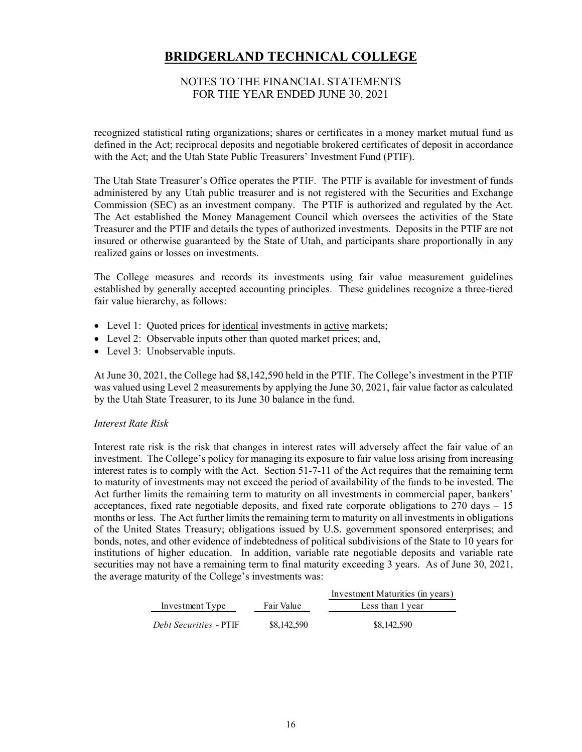### NOTES TO THE FINANCIAL STATEMENTS FOR THE YEAR ENDED JUNE 30, 2021

recognized statistical rating organizations; shares or certificates in a money market mutual fund as defined in the Act; reciprocal deposits and negotiable brokered certificates of deposit in accordance with the Act; and the Utah State Public Treasurers' Investment Fund (PTIF).

The Utah State Treasurer's Office operates the PTIF. The PTIF is available for investment of funds administered by any Utah public treasurer and is not registered with the Securities and Exchange Commission (SEC) as an investment company. The PTIF is authorized and regulated by the Act. The Act established the Money Management Council which oversees the activities of the State Treasurer and the PTIF and details the types of authorized investments. Deposits in the PTIF are not insured or otherwise guaranteed by the State of Utah, and participants share proportionally in any realized gains or losses on investments.

The College measures and records its investments using fair value measurement guidelines established by generally accepted accounting principles. These guidelines recognize a three-tiered fair value hierarchy, as follows:

- Level 1: Quoted prices for identical investments in active markets;
- Level 2: Observable inputs other than quoted market prices; and,
- Level 3: Unobservable inputs.

At June 30, 2021, the College had \$8,142,590 held in the PTIF. The College's investment in the PTIF was valued using Level 2 measurements by applying the June 30, 2021, fair value factor as calculated by the Utah State Treasurer, to its June 30 balance in the fund.

#### *Interest Rate Risk*

Interest rate risk is the risk that changes in interest rates will adversely affect the fair value of an investment. The College's policy for managing its exposure to fair value loss arising from increasing interest rates is to comply with the Act. Section 51-7-11 of the Act requires that the remaining term to maturity of investments may not exceed the period of availability of the funds to be invested. The Act further limits the remaining term to maturity on all investments in commercial paper, bankers' acceptances, fixed rate negotiable deposits, and fixed rate corporate obligations to  $270 \text{ days} - 15$ months or less. The Act further limits the remaining term to maturity on all investments in obligations of the United States Treasury; obligations issued by U.S. government sponsored enterprises; and bonds, notes, and other evidence of indebtedness of political subdivisions of the State to 10 years for institutions of higher education. In addition, variable rate negotiable deposits and variable rate securities may not have a remaining term to final maturity exceeding 3 years. As of June 30, 2021, the average maturity of the College's investments was:

|                               |             | Investment Maturities (in years) |
|-------------------------------|-------------|----------------------------------|
| Investment Type               | Fair Value  | Less than 1 year                 |
| <i>Debt Securities</i> - PTIF | \$8,142,590 | \$8,142,590                      |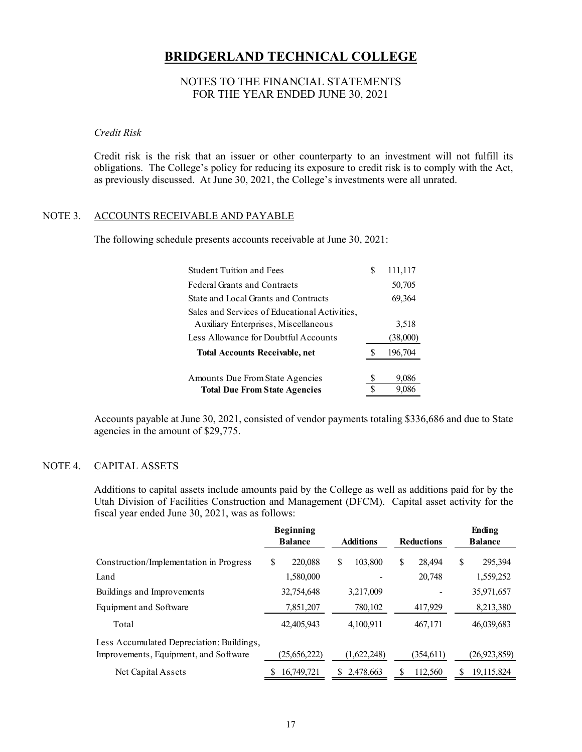### NOTES TO THE FINANCIAL STATEMENTS FOR THE YEAR ENDED JUNE 30, 2021

#### *Credit Risk*

Credit risk is the risk that an issuer or other counterparty to an investment will not fulfill its obligations. The College's policy for reducing its exposure to credit risk is to comply with the Act, as previously discussed. At June 30, 2021, the College's investments were all unrated.

#### NOTE 3. ACCOUNTS RECEIVABLE AND PAYABLE

The following schedule presents accounts receivable at June 30, 2021:

| <b>Student Tuition and Fees</b>               | 111,117  |
|-----------------------------------------------|----------|
| <b>Federal Grants and Contracts</b>           | 50,705   |
| State and Local Grants and Contracts          | 69,364   |
| Sales and Services of Educational Activities, |          |
| Auxiliary Enterprises, Miscellaneous          | 3,518    |
| Less Allowance for Doubtful Accounts          | (38,000) |
| <b>Total Accounts Receivable, net</b>         | 196,704  |
|                                               |          |
| Amounts Due From State Agencies               | 9,086    |
| <b>Total Due From State Agencies</b>          | 9.086    |

Accounts payable at June 30, 2021, consisted of vendor payments totaling \$336,686 and due to State agencies in the amount of \$29,775.

#### NOTE 4. CAPITAL ASSETS

Additions to capital assets include amounts paid by the College as well as additions paid for by the Utah Division of Facilities Construction and Management (DFCM). Capital asset activity for the fiscal year ended June 30, 2021, was as follows:

|                                                                                    | <b>Beginning</b><br><b>Additions</b><br><b>Balance</b> |                | <b>Reductions</b> | Ending<br><b>Balance</b> |  |
|------------------------------------------------------------------------------------|--------------------------------------------------------|----------------|-------------------|--------------------------|--|
| Construction/Implementation in Progress                                            | 220,088<br>S                                           | \$<br>103,800  | \$<br>28.494      | 295,394<br>S             |  |
| Land                                                                               | 1,580,000                                              |                |                   | 1,559,252                |  |
| Buildings and Improvements                                                         | 32,754,648                                             | 3,217,009      |                   | 35,971,657               |  |
| Equipment and Software                                                             | 7,851,207                                              | 780,102        | 417,929           | 8,213,380                |  |
| Total                                                                              | 42,405,943                                             | 4.100.911      | 467,171           | 46,039,683               |  |
| Less Accumulated Depreciation: Buildings,<br>Improvements, Equipment, and Software | (25,656,222)                                           | (1,622,248)    | (354, 611)        | (26,923,859)             |  |
| Net Capital Assets                                                                 | 16,749,721                                             | 2,478,663<br>S | \$<br>112,560     | 19, 115, 824             |  |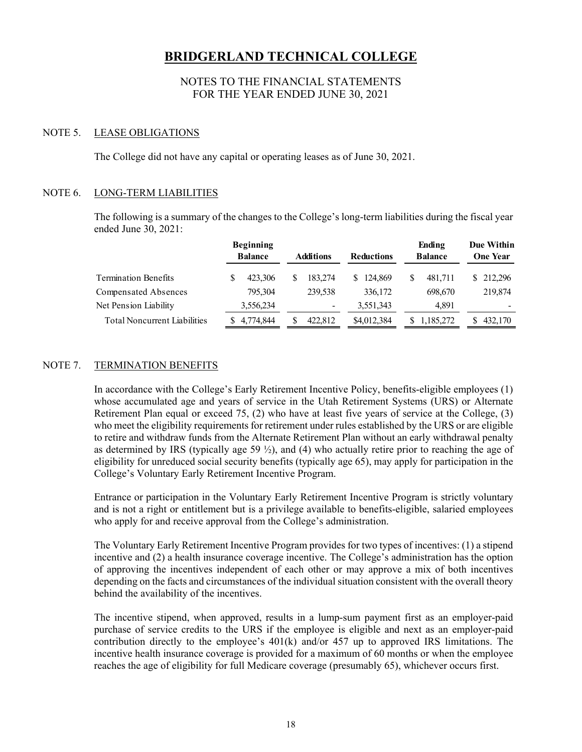### NOTES TO THE FINANCIAL STATEMENTS FOR THE YEAR ENDED JUNE 30, 2021

#### NOTE 5. LEASE OBLIGATIONS

The College did not have any capital or operating leases as of June 30, 2021.

### NOTE 6. LONG-TERM LIABILITIES

The following is a summary of the changes to the College's long-term liabilities during the fiscal year ended June 30, 2021:

|                                     | <b>Beginning</b><br><b>Balance</b> | <b>Additions</b>         | <b>Reductions</b> | Ending<br><b>Balance</b> | Due Within<br><b>One Year</b> |
|-------------------------------------|------------------------------------|--------------------------|-------------------|--------------------------|-------------------------------|
| Termination Benefits                | 423,306                            | 183,274                  | \$124,869         | \$<br>481.711            | \$212,296                     |
| Compensated Absences                | 795,304                            | 239,538                  | 336,172           | 698,670                  | 219,874                       |
| Net Pension Liability               | 3,556,234                          | $\overline{\phantom{a}}$ | 3,551,343         | 4.891                    |                               |
| <b>Total Noncurrent Liabilities</b> | \$4,774,844                        | 422,812                  | \$4,012,384       | 1,185,272                | 432,170                       |

### NOTE 7. TERMINATION BENEFITS

In accordance with the College's Early Retirement Incentive Policy, benefits-eligible employees (1) whose accumulated age and years of service in the Utah Retirement Systems (URS) or Alternate Retirement Plan equal or exceed 75, (2) who have at least five years of service at the College, (3) who meet the eligibility requirements for retirement under rules established by the URS or are eligible to retire and withdraw funds from the Alternate Retirement Plan without an early withdrawal penalty as determined by IRS (typically age 59  $\frac{1}{2}$ ), and (4) who actually retire prior to reaching the age of eligibility for unreduced social security benefits (typically age 65), may apply for participation in the College's Voluntary Early Retirement Incentive Program.

Entrance or participation in the Voluntary Early Retirement Incentive Program is strictly voluntary and is not a right or entitlement but is a privilege available to benefits-eligible, salaried employees who apply for and receive approval from the College's administration.

The Voluntary Early Retirement Incentive Program provides for two types of incentives: (1) a stipend incentive and (2) a health insurance coverage incentive. The College's administration has the option of approving the incentives independent of each other or may approve a mix of both incentives depending on the facts and circumstances of the individual situation consistent with the overall theory behind the availability of the incentives.

The incentive stipend, when approved, results in a lump-sum payment first as an employer-paid purchase of service credits to the URS if the employee is eligible and next as an employer-paid contribution directly to the employee's 401(k) and/or 457 up to approved IRS limitations. The incentive health insurance coverage is provided for a maximum of 60 months or when the employee reaches the age of eligibility for full Medicare coverage (presumably 65), whichever occurs first.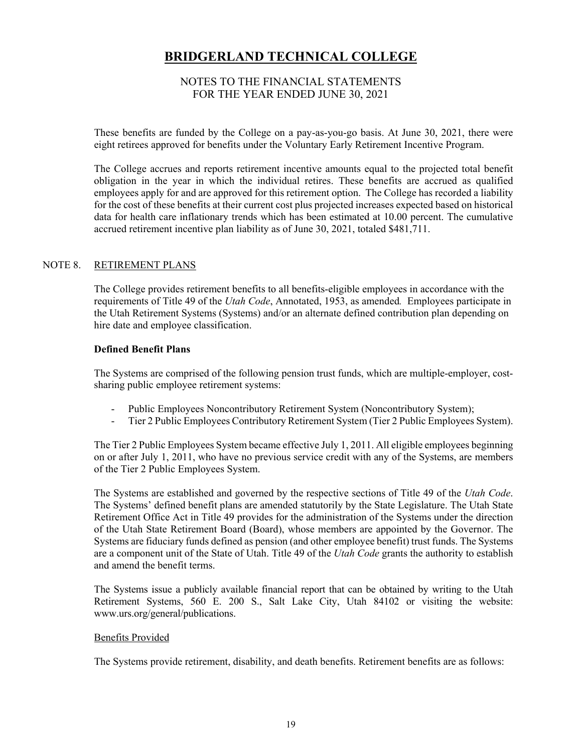### NOTES TO THE FINANCIAL STATEMENTS FOR THE YEAR ENDED JUNE 30, 2021

These benefits are funded by the College on a pay-as-you-go basis. At June 30, 2021, there were eight retirees approved for benefits under the Voluntary Early Retirement Incentive Program.

The College accrues and reports retirement incentive amounts equal to the projected total benefit obligation in the year in which the individual retires. These benefits are accrued as qualified employees apply for and are approved for this retirement option. The College has recorded a liability for the cost of these benefits at their current cost plus projected increases expected based on historical data for health care inflationary trends which has been estimated at 10.00 percent. The cumulative accrued retirement incentive plan liability as of June 30, 2021, totaled \$481,711.

#### NOTE 8. RETIREMENT PLANS

The College provides retirement benefits to all benefits-eligible employees in accordance with the requirements of Title 49 of the *Utah Code*, Annotated, 1953, as amended*.* Employees participate in the Utah Retirement Systems (Systems) and/or an alternate defined contribution plan depending on hire date and employee classification.

#### **Defined Benefit Plans**

The Systems are comprised of the following pension trust funds, which are multiple-employer, costsharing public employee retirement systems:

- Public Employees Noncontributory Retirement System (Noncontributory System);
- Tier 2 Public Employees Contributory Retirement System (Tier 2 Public Employees System).

The Tier 2 Public Employees System became effective July 1, 2011. All eligible employees beginning on or after July 1, 2011, who have no previous service credit with any of the Systems, are members of the Tier 2 Public Employees System.

The Systems are established and governed by the respective sections of Title 49 of the *Utah Code*. The Systems' defined benefit plans are amended statutorily by the State Legislature. The Utah State Retirement Office Act in Title 49 provides for the administration of the Systems under the direction of the Utah State Retirement Board (Board), whose members are appointed by the Governor. The Systems are fiduciary funds defined as pension (and other employee benefit) trust funds. The Systems are a component unit of the State of Utah. Title 49 of the *Utah Code* grants the authority to establish and amend the benefit terms.

The Systems issue a publicly available financial report that can be obtained by writing to the Utah Retirement Systems, 560 E. 200 S., Salt Lake City, Utah 84102 or visiting the website: www.urs.org/general/publications.

#### Benefits Provided

The Systems provide retirement, disability, and death benefits. Retirement benefits are as follows: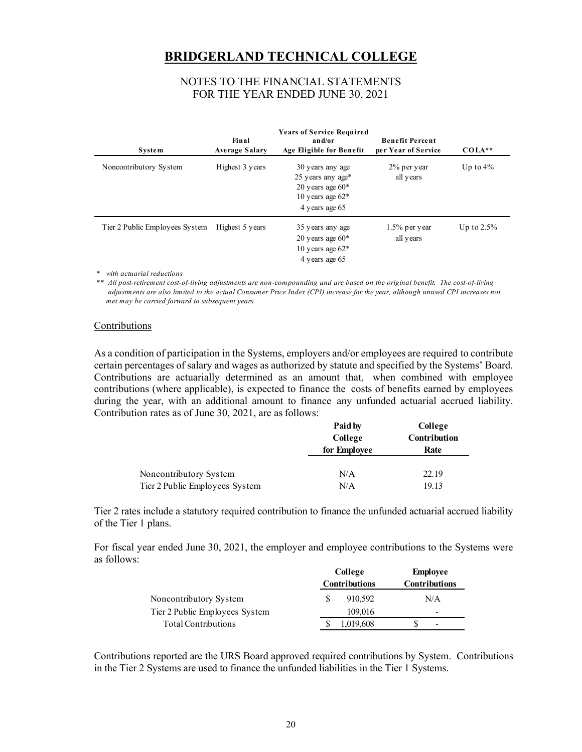### NOTES TO THE FINANCIAL STATEMENTS FOR THE YEAR ENDED JUNE 30, 2021

| <b>System</b>                  | Final<br><b>Average Salary</b> | <b>Years of Service Required</b><br>and/or<br>Age Eligible for Benefit                                | <b>Benefit Percent</b><br>per Year of Service | $COLA**$      |
|--------------------------------|--------------------------------|-------------------------------------------------------------------------------------------------------|-----------------------------------------------|---------------|
| Noncontributory System         | Highest 3 years                | 30 years any age<br>$25$ years any age*<br>20 years age $60*$<br>10 years age $62*$<br>4 years age 65 | $2\%$ per year<br>all years                   | Up to $4\%$   |
| Tier 2 Public Employees System | Highest 5 years                | 35 years any age<br>20 years age $60*$<br>10 years age $62*$<br>4 years age 65                        | $1.5\%$ per year<br>all years                 | Up to $2.5\%$ |

*\* with actuarial reductions*

*\*\* All post-retirement cost-of-living adjustments are non-compounding and are based on the original benefit. The cost-of-living adjustments are also limited to the actual Consumer Price Index (CPI) increase for the year, although unused CPI increases not met may be carried forward to subsequent years.*

#### Contributions

As a condition of participation in the Systems, employers and/or employees are required to contribute certain percentages of salary and wages as authorized by statute and specified by the Systems' Board. Contributions are actuarially determined as an amount that, when combined with employee contributions (where applicable), is expected to finance the costs of benefits earned by employees during the year, with an additional amount to finance any unfunded actuarial accrued liability. Contribution rates as of June 30, 2021, are as follows:

|                                | Paid by      | College      |
|--------------------------------|--------------|--------------|
|                                | College      | Contribution |
|                                | for Employee | Rate         |
|                                |              |              |
| Noncontributory System         | N/A          | 22.19        |
| Tier 2 Public Employees System | N/A          | 19.13        |

Tier 2 rates include a statutory required contribution to finance the unfunded actuarial accrued liability of the Tier 1 plans.

For fiscal year ended June 30, 2021, the employer and employee contributions to the Systems were as follows:

|                                | College              | <b>Employee</b>          |
|--------------------------------|----------------------|--------------------------|
|                                | <b>Contributions</b> | <b>Contributions</b>     |
| Noncontributory System         | 910.592              | N/A                      |
| Tier 2 Public Employees System | 109,016              | $\overline{\phantom{0}}$ |
| <b>Total Contributions</b>     | 1,019,608            | $\overline{\phantom{a}}$ |

Contributions reported are the URS Board approved required contributions by System. Contributions in the Tier 2 Systems are used to finance the unfunded liabilities in the Tier 1 Systems.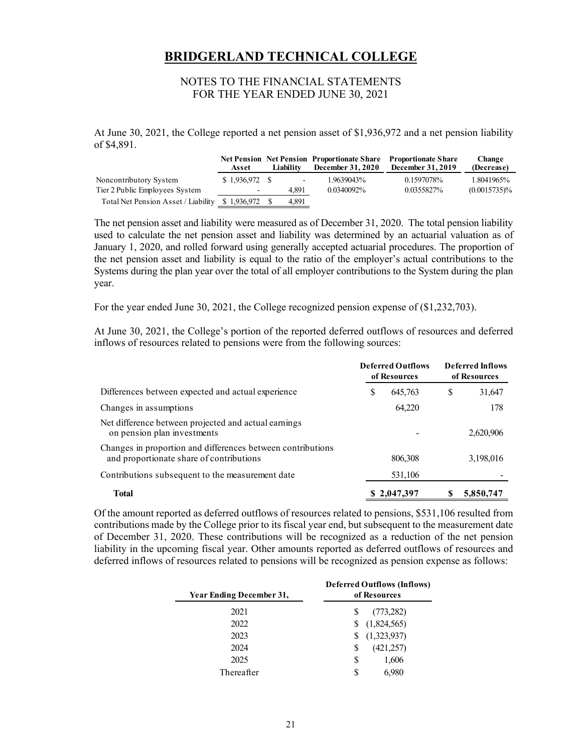### NOTES TO THE FINANCIAL STATEMENTS FOR THE YEAR ENDED JUNE 30, 2021

At June 30, 2021, the College reported a net pension asset of \$1,936,972 and a net pension liability of \$4,891.

|                                     | Asset       | Liability | Net Pension Net Pension Proportionate Share Proportionate Share<br>December 31, 2020 | December 31, 2019 | Change<br>(Decrease) |
|-------------------------------------|-------------|-----------|--------------------------------------------------------------------------------------|-------------------|----------------------|
| Noncontributory System              |             | $\sim$    | 1.9639043%                                                                           | 0.1597078%        | 1.8041965%           |
| Tier 2 Public Employees System      | -           | 4.891     | 0.0340092%                                                                           | 0.0355827%        | $(0.0015735)\%$      |
| Total Net Pension Asset / Liability | \$1,936,972 | 4.891     |                                                                                      |                   |                      |

The net pension asset and liability were measured as of December 31, 2020. The total pension liability used to calculate the net pension asset and liability was determined by an actuarial valuation as of January 1, 2020, and rolled forward using generally accepted actuarial procedures. The proportion of the net pension asset and liability is equal to the ratio of the employer's actual contributions to the Systems during the plan year over the total of all employer contributions to the System during the plan year.

For the year ended June 30, 2021, the College recognized pension expense of (\$1,232,703).

At June 30, 2021, the College's portion of the reported deferred outflows of resources and deferred inflows of resources related to pensions were from the following sources:

|                                                                                                         |   | <b>Deferred Outflows</b><br>of Resources | <b>Deferred Inflows</b><br>of Resources |  |
|---------------------------------------------------------------------------------------------------------|---|------------------------------------------|-----------------------------------------|--|
| Differences between expected and actual experience                                                      | S | 645,763                                  | \$<br>31,647                            |  |
| Changes in assumptions                                                                                  |   | 64,220                                   | 178                                     |  |
| Net difference between projected and actual earnings<br>on pension plan investments                     |   |                                          | 2,620,906                               |  |
| Changes in proportion and differences between contributions<br>and proportionate share of contributions |   | 806,308                                  | 3,198,016                               |  |
| Contributions subsequent to the measurement date                                                        |   | 531,106                                  |                                         |  |
| <b>Total</b>                                                                                            |   | \$2,047,397                              | 5,850,747                               |  |

Of the amount reported as deferred outflows of resources related to pensions, \$531,106 resulted from contributions made by the College prior to its fiscal year end, but subsequent to the measurement date of December 31, 2020. These contributions will be recognized as a reduction of the net pension liability in the upcoming fiscal year. Other amounts reported as deferred outflows of resources and deferred inflows of resources related to pensions will be recognized as pension expense as follows:

| Year Ending December 31, | <b>Deferred Outflows (Inflows)</b><br>of Resources |
|--------------------------|----------------------------------------------------|
| 2021                     | (773, 282)<br>S                                    |
| 2022                     | (1,824,565)                                        |
| 2023                     | (1,323,937)                                        |
| 2024                     | (421, 257)<br>S                                    |
| 2025                     | 1,606<br>S                                         |
| Thereafter               | S                                                  |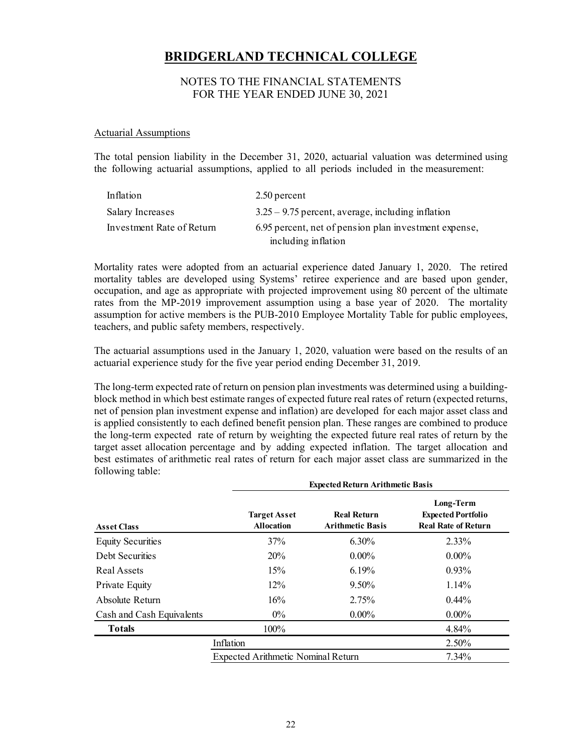### NOTES TO THE FINANCIAL STATEMENTS FOR THE YEAR ENDED JUNE 30, 2021

#### Actuarial Assumptions

The total pension liability in the December 31, 2020, actuarial valuation was determined using the following actuarial assumptions, applied to all periods included in the measurement:

| Inflation                 | 2.50 percent                                          |
|---------------------------|-------------------------------------------------------|
| Salary Increases          | $3.25 - 9.75$ percent, average, including inflation   |
| Investment Rate of Return | 6.95 percent, net of pension plan investment expense, |
|                           | including inflation                                   |

Mortality rates were adopted from an actuarial experience dated January 1, 2020. The retired mortality tables are developed using Systems' retiree experience and are based upon gender, occupation, and age as appropriate with projected improvement using 80 percent of the ultimate rates from the MP-2019 improvement assumption using a base year of 2020. The mortality assumption for active members is the PUB-2010 Employee Mortality Table for public employees, teachers, and public safety members, respectively.

The actuarial assumptions used in the January 1, 2020, valuation were based on the results of an actuarial experience study for the five year period ending December 31, 2019.

The long-term expected rate of return on pension plan investments was determined using a buildingblock method in which best estimate ranges of expected future real rates of return (expected returns, net of pension plan investment expense and inflation) are developed for each major asset class and is applied consistently to each defined benefit pension plan. These ranges are combined to produce the long-term expected rate of return by weighting the expected future real rates of return by the target asset allocation percentage and by adding expected inflation. The target allocation and best estimates of arithmetic real rates of return for each major asset class are summarized in the following table:

|                           | <b>Expected Return Arithmetic Basis</b>  |                                               |                                                                      |  |  |  |  |  |
|---------------------------|------------------------------------------|-----------------------------------------------|----------------------------------------------------------------------|--|--|--|--|--|
| <b>Asset Class</b>        | <b>Target Asset</b><br><b>Allocation</b> | <b>Real Return</b><br><b>Arithmetic Basis</b> | Long-Term<br><b>Expected Portfolio</b><br><b>Real Rate of Return</b> |  |  |  |  |  |
| <b>Equity Securities</b>  | 37%                                      | $6.30\%$                                      | 2.33%                                                                |  |  |  |  |  |
| Debt Securities           | 20%                                      | $0.00\%$                                      | $0.00\%$                                                             |  |  |  |  |  |
| Real Assets               | 15%                                      | 6.19%                                         | $0.93\%$                                                             |  |  |  |  |  |
| Private Equity            | 12%                                      | $9.50\%$                                      | $1.14\%$                                                             |  |  |  |  |  |
| Absolute Return           | 16%                                      | 2.75%                                         | 0.44%                                                                |  |  |  |  |  |
| Cash and Cash Equivalents | $0\%$                                    | $0.00\%$                                      | $0.00\%$                                                             |  |  |  |  |  |
| <b>Totals</b>             | 100%                                     |                                               | 4.84%                                                                |  |  |  |  |  |
|                           | Inflation                                |                                               | 2.50%                                                                |  |  |  |  |  |
|                           | Expected Arithmetic Nominal Return       | 7.34%                                         |                                                                      |  |  |  |  |  |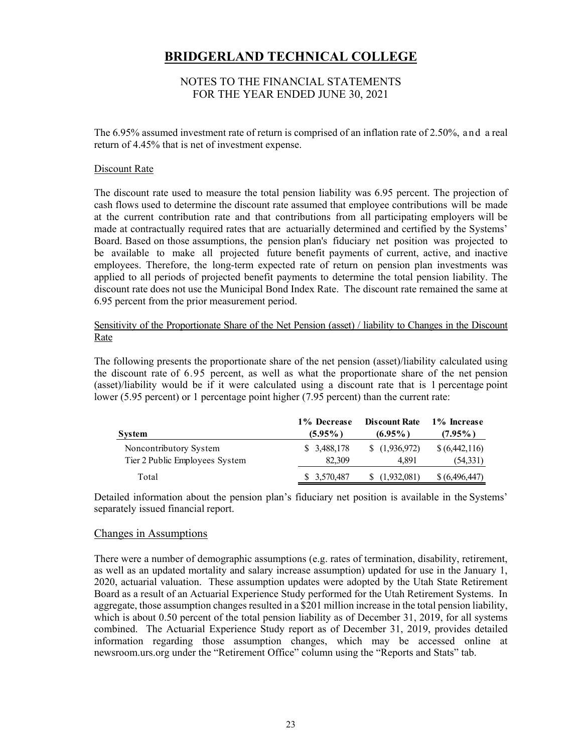### NOTES TO THE FINANCIAL STATEMENTS FOR THE YEAR ENDED JUNE 30, 2021

The 6.95% assumed investment rate of return is comprised of an inflation rate of 2.50%, and a real return of 4.45% that is net of investment expense.

#### Discount Rate

The discount rate used to measure the total pension liability was 6.95 percent. The projection of cash flows used to determine the discount rate assumed that employee contributions will be made at the current contribution rate and that contributions from all participating employers will be made at contractually required rates that are actuarially determined and certified by the Systems' Board. Based on those assumptions, the pension plan's fiduciary net position was projected to be available to make all projected future benefit payments of current, active, and inactive employees. Therefore, the long-term expected rate of return on pension plan investments was applied to all periods of projected benefit payments to determine the total pension liability. The discount rate does not use the Municipal Bond Index Rate. The discount rate remained the same at 6.95 percent from the prior measurement period.

#### Sensitivity of the Proportionate Share of the Net Pension (asset) / liability to Changes in the Discount Rate

The following presents the proportionate share of the net pension (asset)/liability calculated using the discount rate of 6.95 percent, as well as what the proportionate share of the net pension (asset)/liability would be if it were calculated using a discount rate that is 1 percentage point lower (5.95 percent) or 1 percentage point higher (7.95 percent) than the current rate:

|                                | 1% Decrease  | <b>Discount Rate</b> | 1% Increase   |
|--------------------------------|--------------|----------------------|---------------|
| <b>System</b>                  | $(5.95\%)$   | $(6.95\%)$           | $(7.95\%)$    |
| Noncontributory System         | \$ 3,488,178 | (1,936,972)          | \$(6,442,116) |
| Tier 2 Public Employees System | 82,309       | 4.891                | (54,331)      |
| Total                          | \$ 3,570,487 | (1,932,081)          | \$(6,496,447) |

Detailed information about the pension plan's fiduciary net position is available in the Systems' separately issued financial report.

#### Changes in Assumptions

There were a number of demographic assumptions (e.g. rates of termination, disability, retirement, as well as an updated mortality and salary increase assumption) updated for use in the January 1, 2020, actuarial valuation. These assumption updates were adopted by the Utah State Retirement Board as a result of an Actuarial Experience Study performed for the Utah Retirement Systems. In aggregate, those assumption changes resulted in a \$201 million increase in the total pension liability, which is about 0.50 percent of the total pension liability as of December 31, 2019, for all systems combined. The Actuarial Experience Study report as of December 31, 2019, provides detailed information regarding those assumption changes, which may be accessed online at newsroom.urs.org under the "Retirement Office" column using the "Reports and Stats" tab.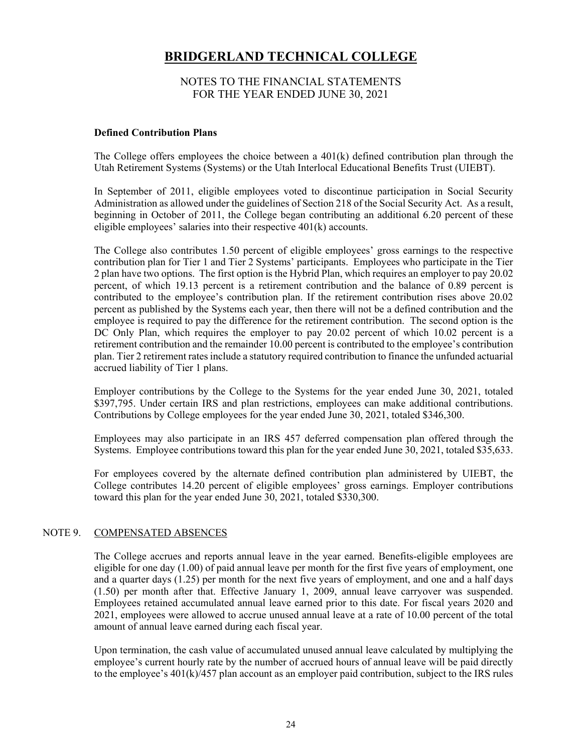### NOTES TO THE FINANCIAL STATEMENTS FOR THE YEAR ENDED JUNE 30, 2021

#### **Defined Contribution Plans**

The College offers employees the choice between a 401(k) defined contribution plan through the Utah Retirement Systems (Systems) or the Utah Interlocal Educational Benefits Trust (UIEBT).

In September of 2011, eligible employees voted to discontinue participation in Social Security Administration as allowed under the guidelines of Section 218 of the Social Security Act. As a result, beginning in October of 2011, the College began contributing an additional 6.20 percent of these eligible employees' salaries into their respective 401(k) accounts.

The College also contributes 1.50 percent of eligible employees' gross earnings to the respective contribution plan for Tier 1 and Tier 2 Systems' participants. Employees who participate in the Tier 2 plan have two options. The first option is the Hybrid Plan, which requires an employer to pay 20.02 percent, of which 19.13 percent is a retirement contribution and the balance of 0.89 percent is contributed to the employee's contribution plan. If the retirement contribution rises above 20.02 percent as published by the Systems each year, then there will not be a defined contribution and the employee is required to pay the difference for the retirement contribution. The second option is the DC Only Plan, which requires the employer to pay 20.02 percent of which 10.02 percent is a retirement contribution and the remainder 10.00 percent is contributed to the employee's contribution plan. Tier 2 retirement rates include a statutory required contribution to finance the unfunded actuarial accrued liability of Tier 1 plans.

Employer contributions by the College to the Systems for the year ended June 30, 2021, totaled \$397,795. Under certain IRS and plan restrictions, employees can make additional contributions. Contributions by College employees for the year ended June 30, 2021, totaled \$346,300.

Employees may also participate in an IRS 457 deferred compensation plan offered through the Systems. Employee contributions toward this plan for the year ended June 30, 2021, totaled \$35,633.

For employees covered by the alternate defined contribution plan administered by UIEBT, the College contributes 14.20 percent of eligible employees' gross earnings. Employer contributions toward this plan for the year ended June 30, 2021, totaled \$330,300.

#### NOTE 9. COMPENSATED ABSENCES

The College accrues and reports annual leave in the year earned. Benefits-eligible employees are eligible for one day (1.00) of paid annual leave per month for the first five years of employment, one and a quarter days (1.25) per month for the next five years of employment, and one and a half days (1.50) per month after that. Effective January 1, 2009, annual leave carryover was suspended. Employees retained accumulated annual leave earned prior to this date. For fiscal years 2020 and 2021, employees were allowed to accrue unused annual leave at a rate of 10.00 percent of the total amount of annual leave earned during each fiscal year.

Upon termination, the cash value of accumulated unused annual leave calculated by multiplying the employee's current hourly rate by the number of accrued hours of annual leave will be paid directly to the employee's 401(k)/457 plan account as an employer paid contribution, subject to the IRS rules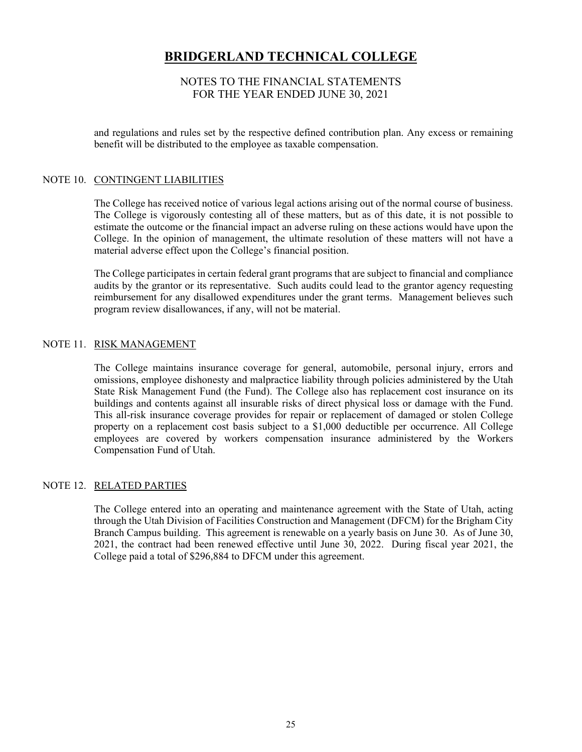### NOTES TO THE FINANCIAL STATEMENTS FOR THE YEAR ENDED JUNE 30, 2021

and regulations and rules set by the respective defined contribution plan. Any excess or remaining benefit will be distributed to the employee as taxable compensation.

#### NOTE 10. CONTINGENT LIABILITIES

The College has received notice of various legal actions arising out of the normal course of business. The College is vigorously contesting all of these matters, but as of this date, it is not possible to estimate the outcome or the financial impact an adverse ruling on these actions would have upon the College. In the opinion of management, the ultimate resolution of these matters will not have a material adverse effect upon the College's financial position.

The College participates in certain federal grant programs that are subject to financial and compliance audits by the grantor or its representative. Such audits could lead to the grantor agency requesting reimbursement for any disallowed expenditures under the grant terms. Management believes such program review disallowances, if any, will not be material.

#### NOTE 11. RISK MANAGEMENT

The College maintains insurance coverage for general, automobile, personal injury, errors and omissions, employee dishonesty and malpractice liability through policies administered by the Utah State Risk Management Fund (the Fund). The College also has replacement cost insurance on its buildings and contents against all insurable risks of direct physical loss or damage with the Fund. This all-risk insurance coverage provides for repair or replacement of damaged or stolen College property on a replacement cost basis subject to a \$1,000 deductible per occurrence. All College employees are covered by workers compensation insurance administered by the Workers Compensation Fund of Utah.

#### NOTE 12. RELATED PARTIES

The College entered into an operating and maintenance agreement with the State of Utah, acting through the Utah Division of Facilities Construction and Management (DFCM) for the Brigham City Branch Campus building. This agreement is renewable on a yearly basis on June 30. As of June 30, 2021, the contract had been renewed effective until June 30, 2022. During fiscal year 2021, the College paid a total of \$296,884 to DFCM under this agreement.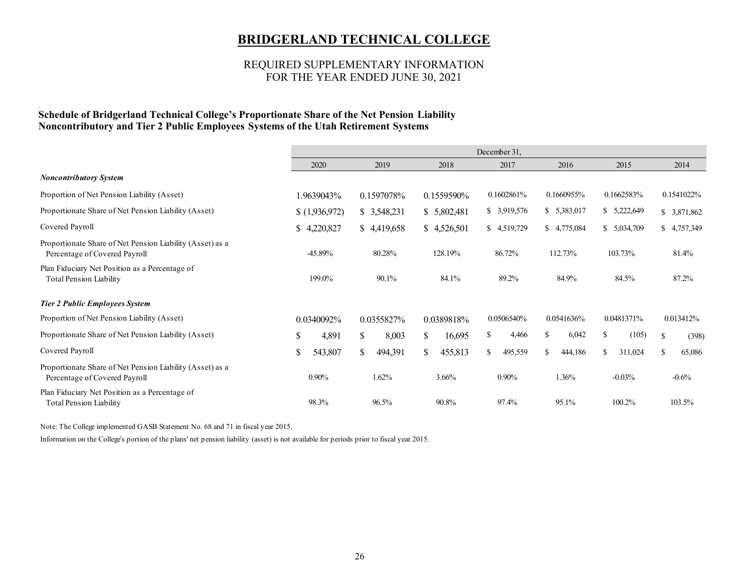### REQUIRED SUPPLEMENTARY INFORMATION FOR THE YEAR ENDED JUNE 30, 2021

### **.**<br>Schedule of Bridgerland Technical College's Proportionate Share of the Net Pension Liability **Noncontributory and Tier 2 Public Employees Systems of the Utah Retirement Systems**

|                                                                                            | December 31,  |                |                |                |               |               |              |  |
|--------------------------------------------------------------------------------------------|---------------|----------------|----------------|----------------|---------------|---------------|--------------|--|
|                                                                                            | 2020          | 2019           | 2018           | 2017           | 2016          | 2015          | 2014         |  |
| <b>Noncontributory System</b>                                                              |               |                |                |                |               |               |              |  |
| Proportion of Net Pension Liability (Asset)                                                | 1.9639043%    | 0.1597078%     | 0.1559590%     | 0.1602861%     | 0.1660955%    | 0.1662583%    | 0.1541022%   |  |
| Proportionate Share of Net Pension Liability (Asset)                                       | (1,936,972)   | \$3,548,231    | \$5,802,481    | \$ 3,919,576   | \$5,383,017   | \$5,222,649   | \$3,871,862  |  |
| Covered Payroll                                                                            | \$4,220,827   | \$4,419,658    | \$4,526,501    | \$4,519,729    | \$4,775,084   | \$ 5,034,709  | \$4,757,349  |  |
| Proportionate Share of Net Pension Liability (Asset) as a<br>Percentage of Covered Payroll | $-45.89%$     | 80.28%         | 128.19%        | 86.72%         | 112.73%       | 103.73%       | 81.4%        |  |
| Plan Fiduciary Net Position as a Percentage of<br>Total Pension Liability                  | 199.0%        | 90.1%          |                | 84.1%<br>89.2% |               | 84.5%         | 87.2%        |  |
| <b>Tier 2 Public Employees System</b>                                                      |               |                |                |                |               |               |              |  |
| Proportion of Net Pension Liability (Asset)                                                | 0.0340092%    | 0.0355827%     | 0.0389818%     | 0.0506540%     | 0.0541636%    | 0.0481371%    | 0.013412%    |  |
| Proportionate Share of Net Pension Liability (Asset)                                       | \$<br>4,891   | \$<br>8,003    | S.<br>16,695   | \$<br>4,466    | 6,042<br>\$   | \$<br>(105)   | \$<br>(398)  |  |
| Covered Payroll                                                                            | \$<br>543,807 | \$.<br>494,391 | \$.<br>455,813 | \$<br>495,559  | S.<br>444,186 | \$<br>311,024 | \$<br>65,086 |  |
| Proportionate Share of Net Pension Liability (Asset) as a<br>Percentage of Covered Payroll | $0.90\%$      | 1.62%          | 3.66%          | $0.90\%$       | 1.36%         | $-0.03%$      | $-0.6\%$     |  |
| Plan Fiduciary Net Position as a Percentage of<br>Total Pension Liability                  | 98.3%         | 96.5%          | 90.8%          | 97.4%          | 95.1%         | 100.2%        | 103.5%       |  |

Note: The College implemented GASB Statement No. 68 and 71 in fiscal year 2015.

Information on the College's portion of the plans' net pension liability (asset) is not available for periods prior to fiscal year 2015.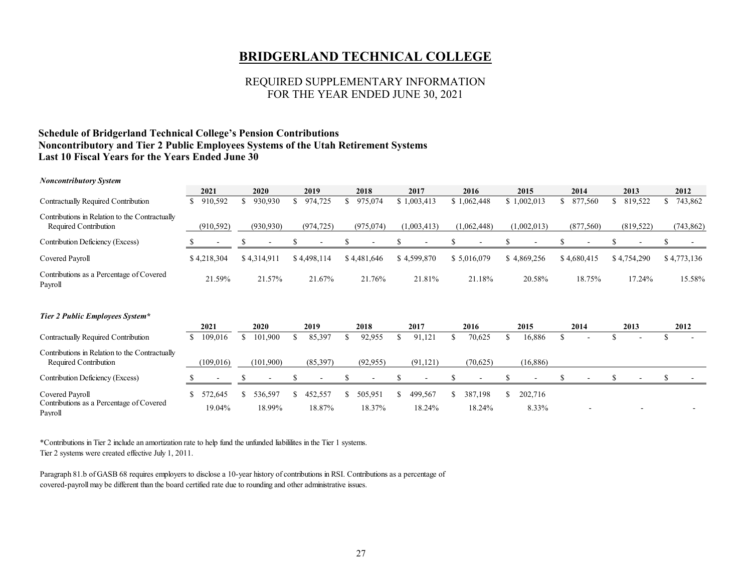### REQUIRED SUPPLEMENTARY INFORMATION FOR THE YEAR ENDED JUNE 30, 2021

#### **Schedule of Bridgerland Technical College's Pension Contributions Noncontributory and Tier 2 Public Employees Systems of the Utah Retirement Systems Last 10 Fiscal Years for the Years Ended June 30**

| <b>Noncontributory System</b>                                           |    |                          |    |                   |    |                   |   |                          |   |                   |    |                   |   |                          |   |             |    |                |    |             |  |
|-------------------------------------------------------------------------|----|--------------------------|----|-------------------|----|-------------------|---|--------------------------|---|-------------------|----|-------------------|---|--------------------------|---|-------------|----|----------------|----|-------------|--|
|                                                                         |    | 2021                     |    | 2020              |    | 2019              |   | 2018                     |   | 2017              |    | 2016              |   | 2015                     |   | 2014        |    | 2013           |    | 2012        |  |
| Contractually Required Contribution                                     | \$ | 910,592                  |    | 930,930           |    | 974,725           |   | 975,074                  |   | \$1,003,413       |    | \$1,062,448       |   | \$1,002,013              |   | 877,560     | \$ | 819,522        | S. | 743,862     |  |
| Contributions in Relation to the Contractually<br>Required Contribution |    | (910, 592)               |    | (930, 930)        |    | (974, 725)        |   | (975, 074)               |   | (1,003,413)       |    | (1,062,448)       |   | (1,002,013)              |   | (877, 560)  |    | (819, 522)     |    | (743, 862)  |  |
| Contribution Deficiency (Excess)                                        | ъ  | $\overline{\phantom{a}}$ | S  |                   | S  |                   | S | $\overline{\phantom{a}}$ |   | $\blacksquare$    | S  |                   | S | $\overline{\phantom{a}}$ | S |             | S  | $\blacksquare$ | S  |             |  |
| Covered Payroll                                                         |    | \$4,218,304              |    | \$4,314,911       |    | \$4,498,114       |   | \$4,481,646              |   | \$4,599,870       |    | \$5,016,079       |   | \$4,869,256              |   | \$4,680,415 |    | \$4,754,290    |    | \$4,773,136 |  |
| Contributions as a Percentage of Covered<br>Payroll                     |    | 21.59%                   |    | 21.57%            |    | 21.67%            |   | 21.76%                   |   | 21.81%            |    | 21.18%            |   | 20.58%                   |   | 18.75%      |    | 17.24%         |    | 15.58%      |  |
| Tier 2 Public Employees System*                                         |    | 2021                     |    | 2020              |    | 2019              |   | 2018                     |   | 2017              |    | 2016              |   | 2015                     |   | 2014        |    | 2013           |    | 2012        |  |
| Contractually Required Contribution                                     | \$ | 109,016                  | \$ | 101,900           |    | 85,397            |   | 92,955                   | S | 91,121            | \$ | 70,625            | S | 16,886                   | S |             | \$ |                | S  |             |  |
| Contributions in Relation to the Contractually<br>Required Contribution |    | (109,016)                |    | (101,900)         |    | (85,397)          |   | (92, 955)                |   | (91, 121)         |    | (70,625)          |   | (16, 886)                |   |             |    |                |    |             |  |
| Contribution Deficiency (Excess)                                        |    |                          |    |                   |    |                   |   |                          |   |                   |    |                   |   |                          |   |             | S  |                | S  |             |  |
| Covered Payroll<br>Contributions as a Percentage of Covered<br>Pavroll  | S. | 572,645<br>19.04%        | \$ | 536,597<br>18.99% | S. | 452,557<br>18.87% | S | 505,951<br>18.37%        |   | 499,567<br>18.24% | \$ | 387,198<br>18.24% | S | 202,716<br>8.33%         |   |             |    |                |    |             |  |

\*Contributions in Tier 2 include an amortization rate to help fund the unfunded liabililites in the Tier 1 systems. Tier 2 systems were created effective July 1, 2011.

Paragraph 81.b of GASB 68 requires employers to disclose a 10-year history of contributions in RSI. Contributions as a percentage of covered-payroll may be different than the board certified rate due to rounding and other administrative issues.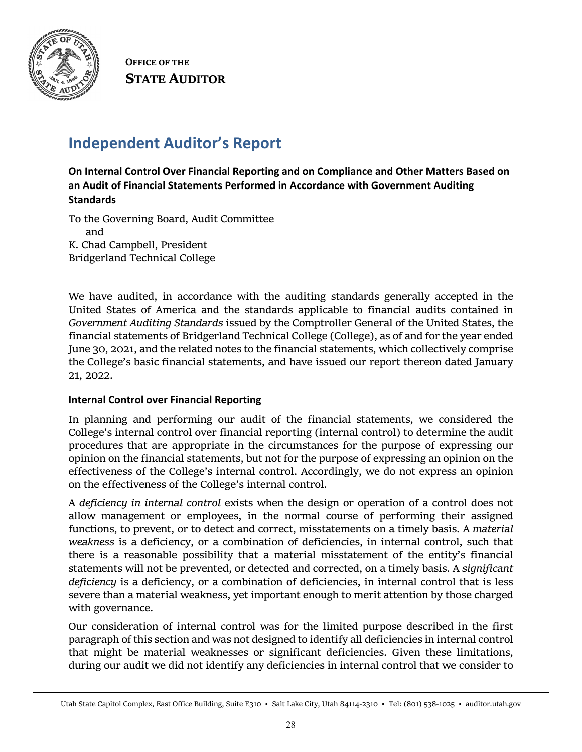

**OFFICE OF THE STATE AUDITOR**

# **Independent Auditor's Report**

**On Internal Control Over Financial Reporting and on Compliance and Other Matters Based on an Audit of Financial Statements Performed in Accordance with Government Auditing Standards** 

To the Governing Board, Audit Committee and K. Chad Campbell, President Bridgerland Technical College

We have audited, in accordance with the auditing standards generally accepted in the United States of America and the standards applicable to financial audits contained in *Government Auditing Standards* issued by the Comptroller General of the United States, the financial statements of Bridgerland Technical College (College), as of and for the year ended June 30, 2021, and the related notes to the financial statements, which collectively comprise the College's basic financial statements, and have issued our report thereon dated January 21, 2022.

## **Internal Control over Financial Reporting**

In planning and performing our audit of the financial statements, we considered the College's internal control over financial reporting (internal control) to determine the audit procedures that are appropriate in the circumstances for the purpose of expressing our opinion on the financial statements, but not for the purpose of expressing an opinion on the effectiveness of the College's internal control. Accordingly, we do not express an opinion on the effectiveness of the College's internal control.

A *deficiency in internal control* exists when the design or operation of a control does not allow management or employees, in the normal course of performing their assigned functions, to prevent, or to detect and correct, misstatements on a timely basis. A *material weakness* is a deficiency, or a combination of deficiencies, in internal control, such that there is a reasonable possibility that a material misstatement of the entity's financial statements will not be prevented, or detected and corrected, on a timely basis. A *significant deficiency* is a deficiency, or a combination of deficiencies, in internal control that is less severe than a material weakness, yet important enough to merit attention by those charged with governance.

Our consideration of internal control was for the limited purpose described in the first paragraph of this section and was not designed to identify all deficiencies in internal control that might be material weaknesses or significant deficiencies. Given these limitations, during our audit we did not identify any deficiencies in internal control that we consider to

Utah State Capitol Complex, East Office Building, Suite E310 · Salt Lake City, Utah 84114-2310 · Tel: (801) 538-1025 · auditor.utah.gov